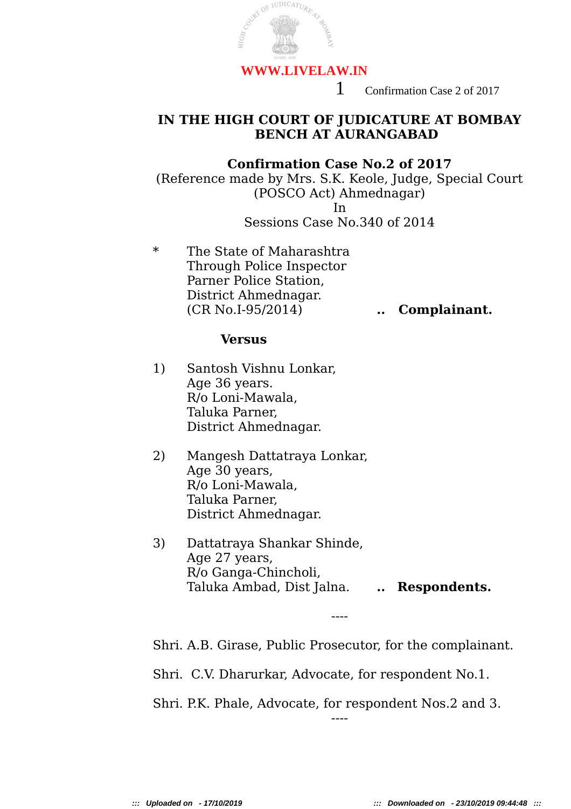

1 Confirmation Case 2 of 2017

## **IN THE HIGH COURT OF JUDICATURE AT BOMBAY BENCH AT AURANGABAD**

## **Confirmation Case No.2 of 2017**

(Reference made by Mrs. S.K. Keole, Judge, Special Court (POSCO Act) Ahmednagar) In Sessions Case No.340 of 2014

\* The State of Maharashtra Through Police Inspector Parner Police Station, District Ahmednagar. (CR No.I-95/2014) **.. Complainant.**

## **Versus**

- 1) Santosh Vishnu Lonkar, Age 36 years. R/o Loni-Mawala, Taluka Parner, District Ahmednagar.
- 2) Mangesh Dattatraya Lonkar, Age 30 years, R/o Loni-Mawala, Taluka Parner, District Ahmednagar.
- 3) Dattatraya Shankar Shinde, Age 27 years, R/o Ganga-Chincholi, Taluka Ambad, Dist Jalna. **.. Respondents.**

Shri. A.B. Girase, Public Prosecutor, for the complainant.

----

Shri. C.V. Dharurkar, Advocate, for respondent No.1.

Shri. P.K. Phale, Advocate, for respondent Nos.2 and 3.

----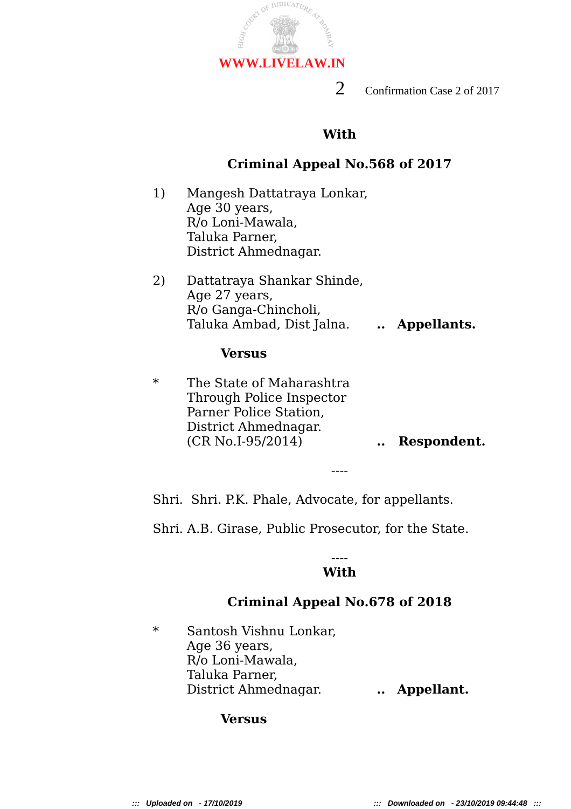

2 Confirmation Case 2 of 2017

# **With**

# **Criminal Appeal No.568 of 2017**

- 1) Mangesh Dattatraya Lonkar, Age 30 years, R/o Loni-Mawala, Taluka Parner, District Ahmednagar.
- 2) Dattatraya Shankar Shinde, Age 27 years, R/o Ganga-Chincholi, Taluka Ambad, Dist Jalna. **.. Appellants.**

## **Versus**

\* The State of Maharashtra Through Police Inspector Parner Police Station, District Ahmednagar. (CR No.I-95/2014) **.. Respondent.**

Shri. Shri. P.K. Phale, Advocate, for appellants.

Shri. A.B. Girase, Public Prosecutor, for the State.

## ---- **With**

----

# **Criminal Appeal No.678 of 2018**

\* Santosh Vishnu Lonkar, Age 36 years, R/o Loni-Mawala, Taluka Parner, District Ahmednagar. **.. Appellant.**

# **Versus**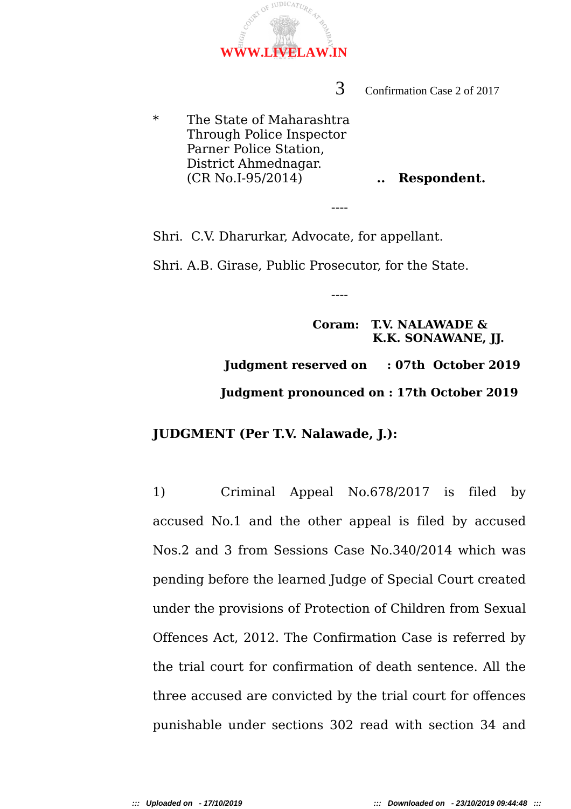3 Confirmation Case 2 of 2017

\* The State of Maharashtra Through Police Inspector Parner Police Station, District Ahmednagar. (CR No.I-95/2014) **.. Respondent.**

Shri. C.V. Dharurkar, Advocate, for appellant.

Shri. A.B. Girase, Public Prosecutor, for the State.

----

----

 **Coram: T.V. NALAWADE & K.K. SONAWANE, JJ.**

 **Judgment reserved on : 07th October 2019 Judgment pronounced on : 17th October 2019**

## **JUDGMENT (Per T.V. Nalawade, J.):**

1) Criminal Appeal No.678/2017 is filed by accused No.1 and the other appeal is filed by accused Nos.2 and 3 from Sessions Case No.340/2014 which was pending before the learned Judge of Special Court created under the provisions of Protection of Children from Sexual Offences Act, 2012. The Confirmation Case is referred by the trial court for confirmation of death sentence. All the three accused are convicted by the trial court for offences punishable under sections 302 read with section 34 and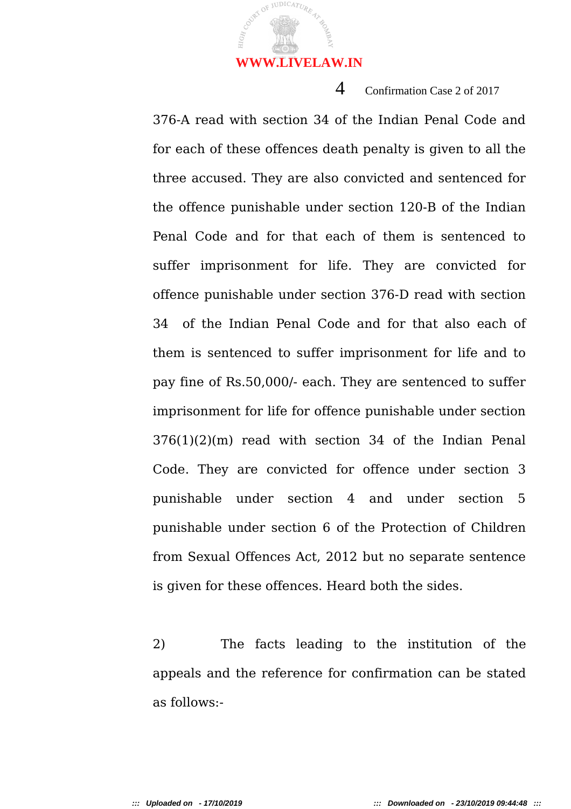

## 4 Confirmation Case 2 of 2017

376-A read with section 34 of the Indian Penal Code and for each of these offences death penalty is given to all the three accused. They are also convicted and sentenced for the offence punishable under section 120-B of the Indian Penal Code and for that each of them is sentenced to suffer imprisonment for life. They are convicted for offence punishable under section 376-D read with section 34 of the Indian Penal Code and for that also each of them is sentenced to suffer imprisonment for life and to pay fine of Rs.50,000/- each. They are sentenced to suffer imprisonment for life for offence punishable under section 376(1)(2)(m) read with section 34 of the Indian Penal Code. They are convicted for offence under section 3 punishable under section 4 and under section 5 punishable under section 6 of the Protection of Children from Sexual Offences Act, 2012 but no separate sentence is given for these offences. Heard both the sides.

2) The facts leading to the institution of the appeals and the reference for confirmation can be stated as follows:-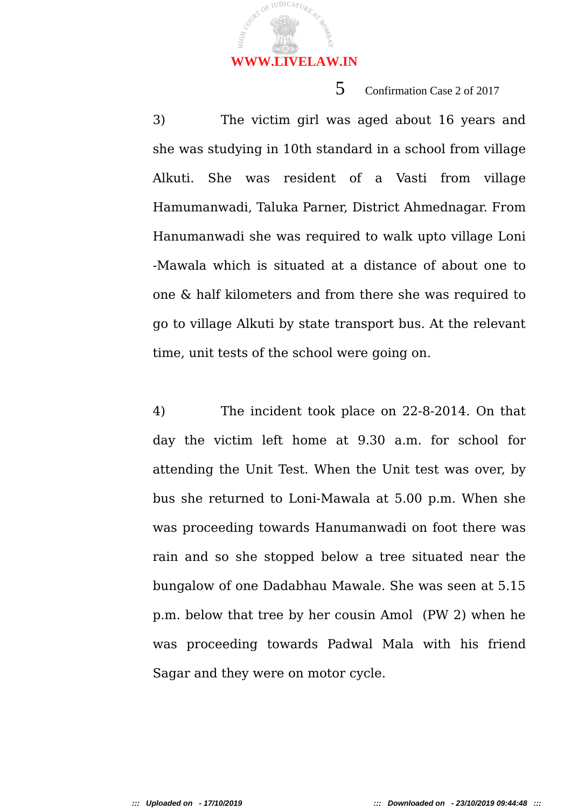

# 5 Confirmation Case 2 of 2017

3) The victim girl was aged about 16 years and she was studying in 10th standard in a school from village Alkuti. She was resident of a Vasti from village Hamumanwadi, Taluka Parner, District Ahmednagar. From Hanumanwadi she was required to walk upto village Loni -Mawala which is situated at a distance of about one to one & half kilometers and from there she was required to go to village Alkuti by state transport bus. At the relevant time, unit tests of the school were going on.

4) The incident took place on 22-8-2014. On that day the victim left home at 9.30 a.m. for school for attending the Unit Test. When the Unit test was over, by bus she returned to Loni-Mawala at 5.00 p.m. When she was proceeding towards Hanumanwadi on foot there was rain and so she stopped below a tree situated near the bungalow of one Dadabhau Mawale. She was seen at 5.15 p.m. below that tree by her cousin Amol (PW 2) when he was proceeding towards Padwal Mala with his friend Sagar and they were on motor cycle.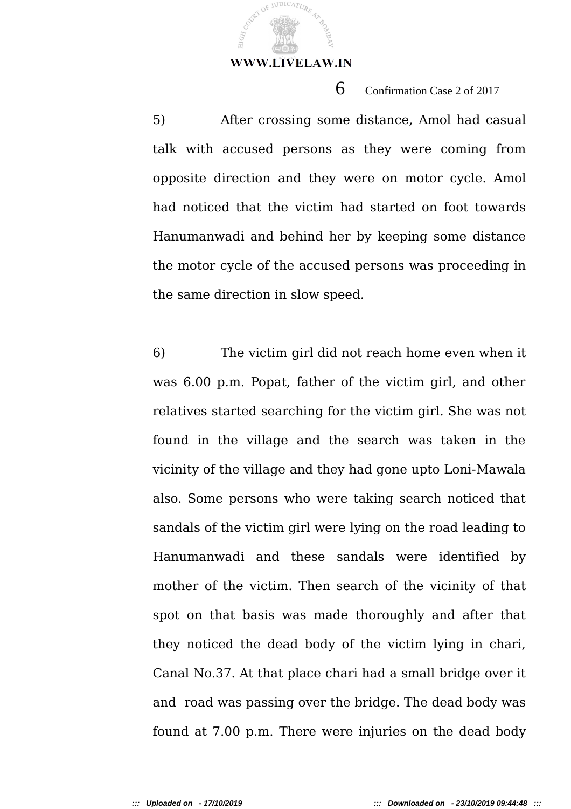JUDICATUR

6 Confirmation Case 2 of 2017

5) After crossing some distance, Amol had casual talk with accused persons as they were coming from opposite direction and they were on motor cycle. Amol had noticed that the victim had started on foot towards Hanumanwadi and behind her by keeping some distance the motor cycle of the accused persons was proceeding in the same direction in slow speed.

6) The victim girl did not reach home even when it was 6.00 p.m. Popat, father of the victim girl, and other relatives started searching for the victim girl. She was not found in the village and the search was taken in the vicinity of the village and they had gone upto Loni-Mawala also. Some persons who were taking search noticed that sandals of the victim girl were lying on the road leading to Hanumanwadi and these sandals were identified by mother of the victim. Then search of the vicinity of that spot on that basis was made thoroughly and after that they noticed the dead body of the victim lying in chari, Canal No.37. At that place chari had a small bridge over it and road was passing over the bridge. The dead body was found at 7.00 p.m. There were injuries on the dead body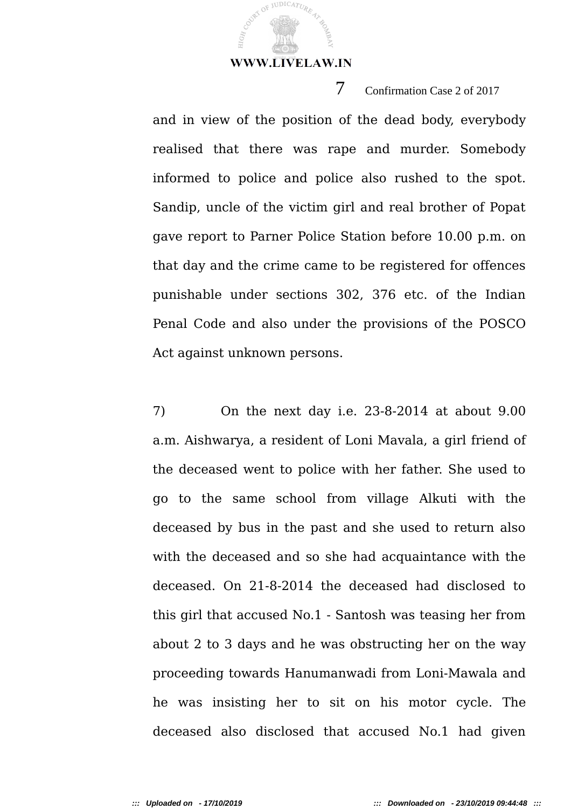JUDICATUR

7 Confirmation Case 2 of 2017

and in view of the position of the dead body, everybody realised that there was rape and murder. Somebody informed to police and police also rushed to the spot. Sandip, uncle of the victim girl and real brother of Popat gave report to Parner Police Station before 10.00 p.m. on that day and the crime came to be registered for offences punishable under sections 302, 376 etc. of the Indian Penal Code and also under the provisions of the POSCO Act against unknown persons.

7) On the next day i.e. 23-8-2014 at about 9.00 a.m. Aishwarya, a resident of Loni Mavala, a girl friend of the deceased went to police with her father. She used to go to the same school from village Alkuti with the deceased by bus in the past and she used to return also with the deceased and so she had acquaintance with the deceased. On 21-8-2014 the deceased had disclosed to this girl that accused No.1 - Santosh was teasing her from about 2 to 3 days and he was obstructing her on the way proceeding towards Hanumanwadi from Loni-Mawala and he was insisting her to sit on his motor cycle. The deceased also disclosed that accused No.1 had given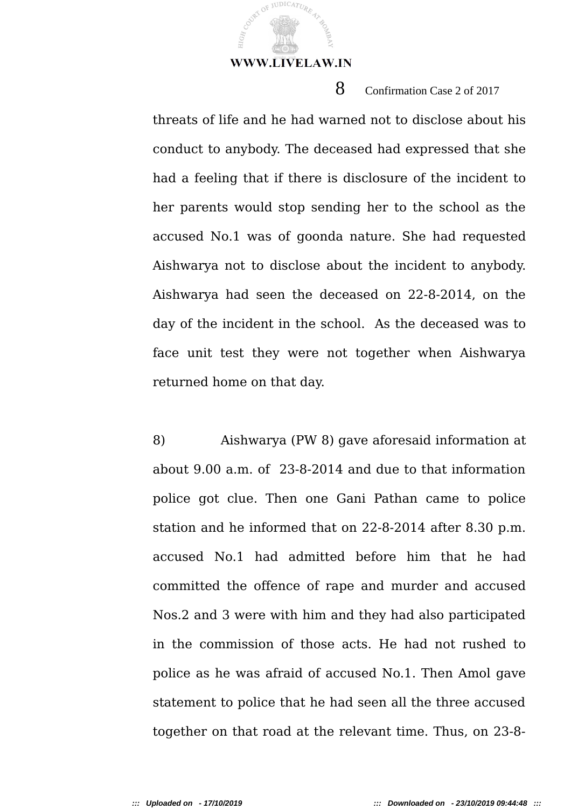**JUDICATUR** 

8 Confirmation Case 2 of 2017

threats of life and he had warned not to disclose about his conduct to anybody. The deceased had expressed that she had a feeling that if there is disclosure of the incident to her parents would stop sending her to the school as the accused No.1 was of goonda nature. She had requested Aishwarya not to disclose about the incident to anybody. Aishwarya had seen the deceased on 22-8-2014, on the day of the incident in the school. As the deceased was to face unit test they were not together when Aishwarya returned home on that day.

8) Aishwarya (PW 8) gave aforesaid information at about 9.00 a.m. of 23-8-2014 and due to that information police got clue. Then one Gani Pathan came to police station and he informed that on 22-8-2014 after 8.30 p.m. accused No.1 had admitted before him that he had committed the offence of rape and murder and accused Nos.2 and 3 were with him and they had also participated in the commission of those acts. He had not rushed to police as he was afraid of accused No.1. Then Amol gave statement to police that he had seen all the three accused together on that road at the relevant time. Thus, on 23-8-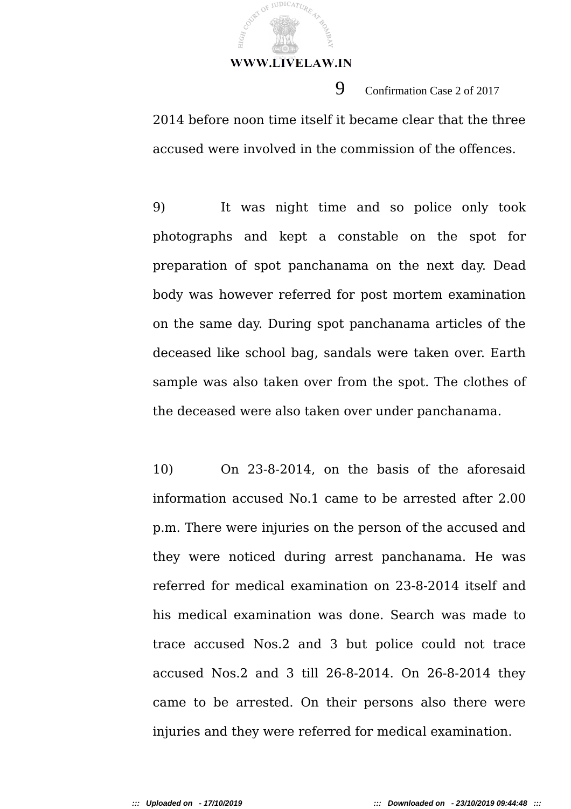**JUDICATUR** 

2014 before noon time itself it became clear that the three accused were involved in the commission of the offences.

9 Confirmation Case 2 of 2017

9) It was night time and so police only took photographs and kept a constable on the spot for preparation of spot panchanama on the next day. Dead body was however referred for post mortem examination on the same day. During spot panchanama articles of the deceased like school bag, sandals were taken over. Earth sample was also taken over from the spot. The clothes of the deceased were also taken over under panchanama.

10) On 23-8-2014, on the basis of the aforesaid information accused No.1 came to be arrested after 2.00 p.m. There were injuries on the person of the accused and they were noticed during arrest panchanama. He was referred for medical examination on 23-8-2014 itself and his medical examination was done. Search was made to trace accused Nos.2 and 3 but police could not trace accused Nos.2 and 3 till 26-8-2014. On 26-8-2014 they came to be arrested. On their persons also there were injuries and they were referred for medical examination.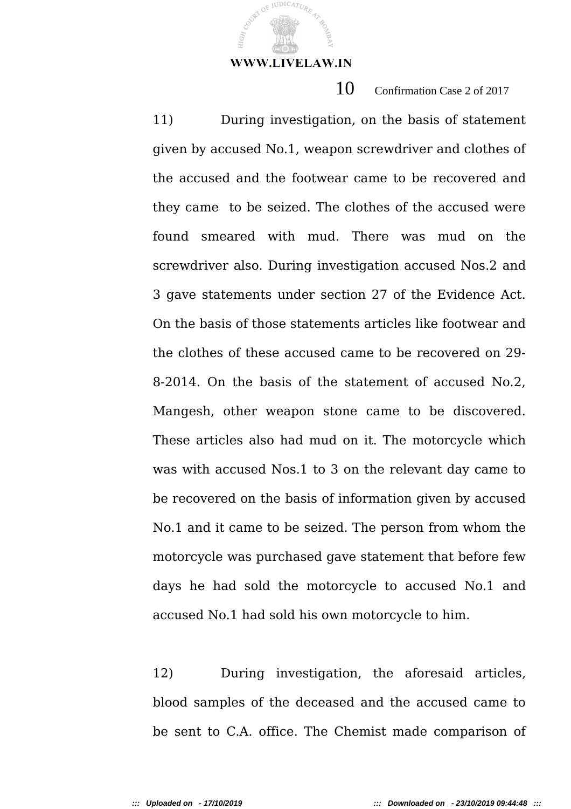**JUDICATUR** 

10 Confirmation Case 2 of 2017

11) During investigation, on the basis of statement given by accused No.1, weapon screwdriver and clothes of the accused and the footwear came to be recovered and they came to be seized. The clothes of the accused were found smeared with mud. There was mud on the screwdriver also. During investigation accused Nos.2 and 3 gave statements under section 27 of the Evidence Act. On the basis of those statements articles like footwear and the clothes of these accused came to be recovered on 29- 8-2014. On the basis of the statement of accused No.2, Mangesh, other weapon stone came to be discovered. These articles also had mud on it. The motorcycle which was with accused Nos.1 to 3 on the relevant day came to be recovered on the basis of information given by accused No.1 and it came to be seized. The person from whom the motorcycle was purchased gave statement that before few days he had sold the motorcycle to accused No.1 and accused No.1 had sold his own motorcycle to him.

12) During investigation, the aforesaid articles, blood samples of the deceased and the accused came to be sent to C.A. office. The Chemist made comparison of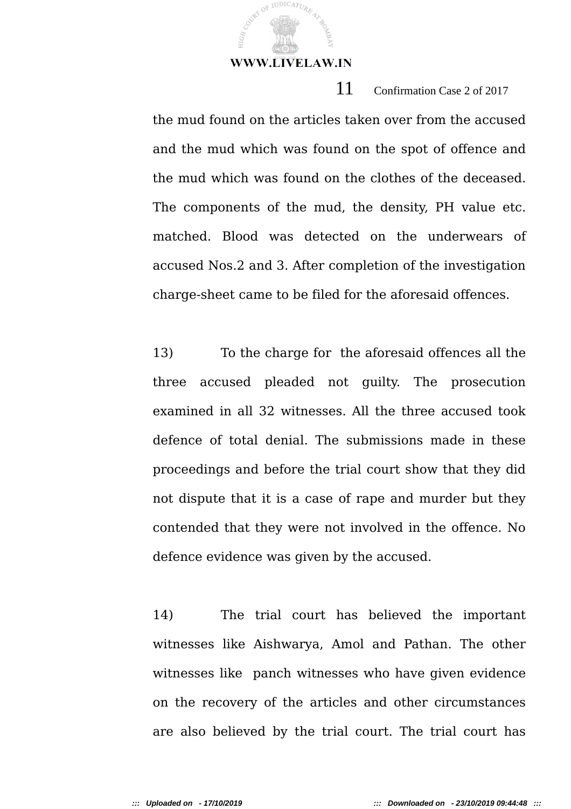11 Confirmation Case 2 of 2017 the mud found on the articles taken over from the accused and the mud which was found on the spot of offence and the mud which was found on the clothes of the deceased. The components of the mud, the density, PH value etc. matched. Blood was detected on the underwears of accused Nos.2 and 3. After completion of the investigation charge-sheet came to be filed for the aforesaid offences.

13) To the charge for the aforesaid offences all the three accused pleaded not guilty. The prosecution examined in all 32 witnesses. All the three accused took defence of total denial. The submissions made in these proceedings and before the trial court show that they did not dispute that it is a case of rape and murder but they contended that they were not involved in the offence. No defence evidence was given by the accused.

14) The trial court has believed the important witnesses like Aishwarya, Amol and Pathan. The other witnesses like panch witnesses who have given evidence on the recovery of the articles and other circumstances are also believed by the trial court. The trial court has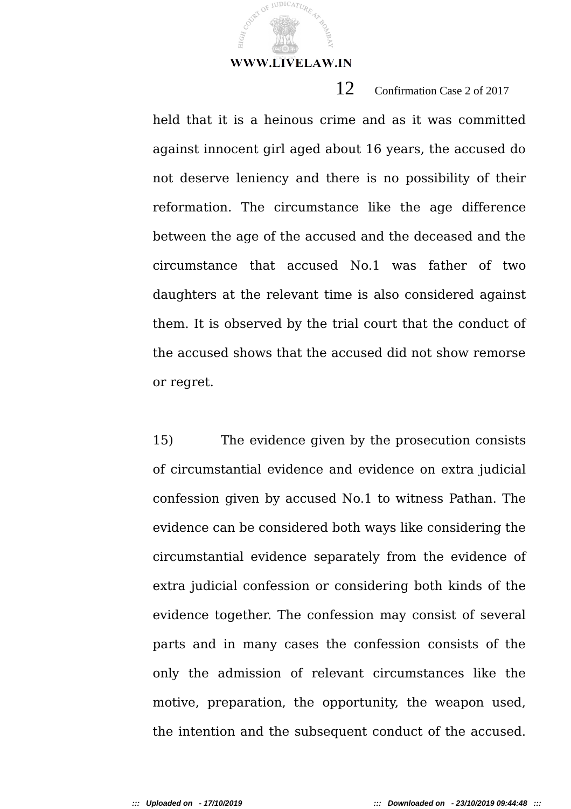**JUDICATUR** 

12 Confirmation Case 2 of 2017

held that it is a heinous crime and as it was committed against innocent girl aged about 16 years, the accused do not deserve leniency and there is no possibility of their reformation. The circumstance like the age difference between the age of the accused and the deceased and the circumstance that accused No.1 was father of two daughters at the relevant time is also considered against them. It is observed by the trial court that the conduct of the accused shows that the accused did not show remorse or regret.

15) The evidence given by the prosecution consists of circumstantial evidence and evidence on extra judicial confession given by accused No.1 to witness Pathan. The evidence can be considered both ways like considering the circumstantial evidence separately from the evidence of extra judicial confession or considering both kinds of the evidence together. The confession may consist of several parts and in many cases the confession consists of the only the admission of relevant circumstances like the motive, preparation, the opportunity, the weapon used, the intention and the subsequent conduct of the accused.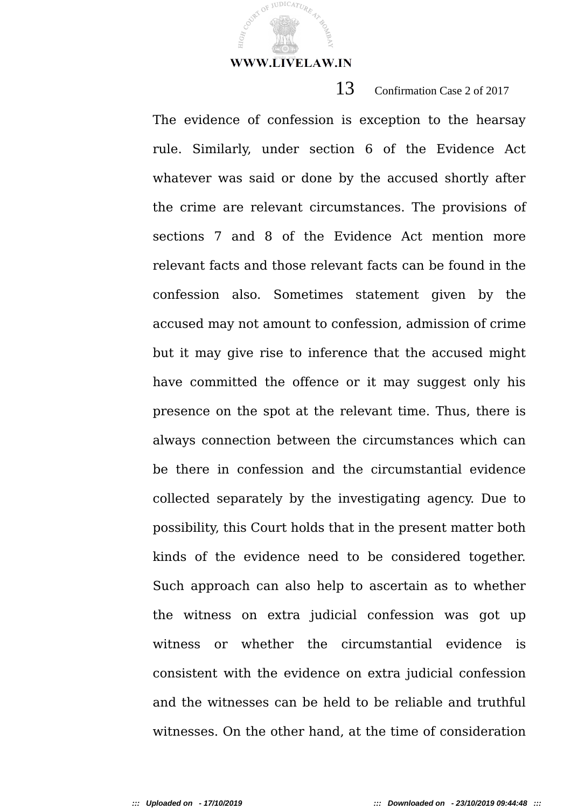JUDICATUR

13 Confirmation Case 2 of 2017

The evidence of confession is exception to the hearsay rule. Similarly, under section 6 of the Evidence Act whatever was said or done by the accused shortly after the crime are relevant circumstances. The provisions of sections 7 and 8 of the Evidence Act mention more relevant facts and those relevant facts can be found in the confession also. Sometimes statement given by the accused may not amount to confession, admission of crime but it may give rise to inference that the accused might have committed the offence or it may suggest only his presence on the spot at the relevant time. Thus, there is always connection between the circumstances which can be there in confession and the circumstantial evidence collected separately by the investigating agency. Due to possibility, this Court holds that in the present matter both kinds of the evidence need to be considered together. Such approach can also help to ascertain as to whether the witness on extra judicial confession was got up witness or whether the circumstantial evidence is consistent with the evidence on extra judicial confession and the witnesses can be held to be reliable and truthful witnesses. On the other hand, at the time of consideration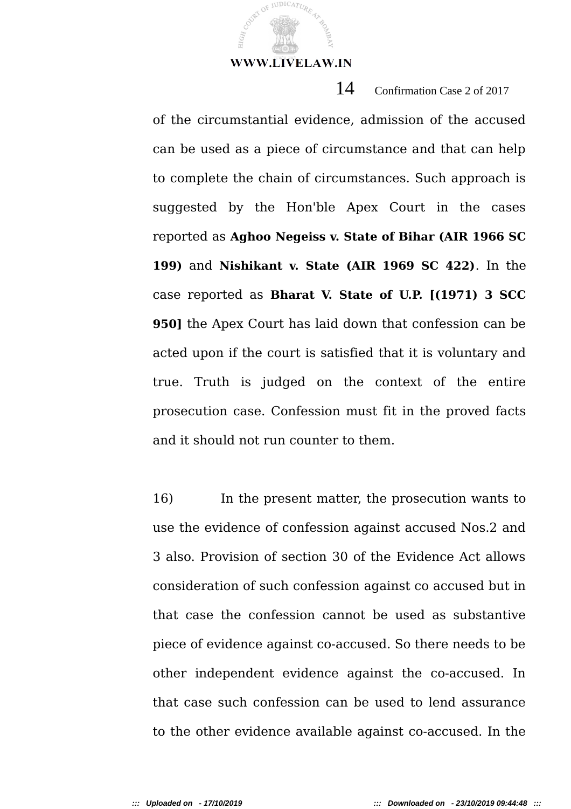**JUDICATUR** 

14 Confirmation Case 2 of 2017

of the circumstantial evidence, admission of the accused can be used as a piece of circumstance and that can help to complete the chain of circumstances. Such approach is suggested by the Hon'ble Apex Court in the cases reported as **Aghoo Negeiss v. State of Bihar (AIR 1966 SC 199)** and **Nishikant v. State (AIR 1969 SC 422)**. In the case reported as **Bharat V. State of U.P. [(1971) 3 SCC 950]** the Apex Court has laid down that confession can be acted upon if the court is satisfied that it is voluntary and true. Truth is judged on the context of the entire prosecution case. Confession must fit in the proved facts and it should not run counter to them.

16) In the present matter, the prosecution wants to use the evidence of confession against accused Nos.2 and 3 also. Provision of section 30 of the Evidence Act allows consideration of such confession against co accused but in that case the confession cannot be used as substantive piece of evidence against co-accused. So there needs to be other independent evidence against the co-accused. In that case such confession can be used to lend assurance to the other evidence available against co-accused. In the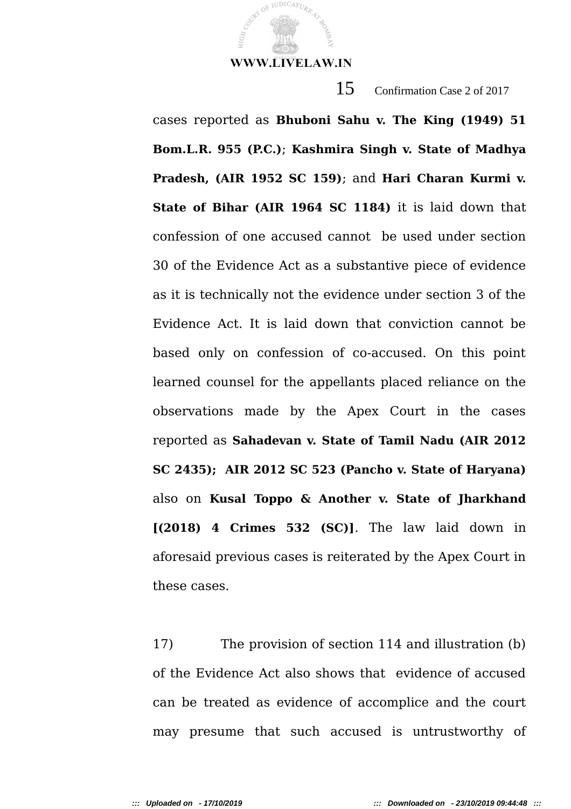

JUDICATUR

15 Confirmation Case 2 of 2017

cases reported as **Bhuboni Sahu v. The King (1949) 51 Bom.L.R. 955 (P.C.)**; **Kashmira Singh v. State of Madhya Pradesh, (AIR 1952 SC 159)**; and **Hari Charan Kurmi v. State of Bihar (AIR 1964 SC 1184)** it is laid down that confession of one accused cannot be used under section 30 of the Evidence Act as a substantive piece of evidence as it is technically not the evidence under section 3 of the Evidence Act. It is laid down that conviction cannot be based only on confession of co-accused. On this point learned counsel for the appellants placed reliance on the observations made by the Apex Court in the cases reported as **Sahadevan v. State of Tamil Nadu (AIR 2012 SC 2435); AIR 2012 SC 523 (Pancho v. State of Haryana)** also on **Kusal Toppo & Another v. State of Jharkhand [(2018) 4 Crimes 532 (SC)]**. The law laid down in aforesaid previous cases is reiterated by the Apex Court in these cases.

17) The provision of section 114 and illustration (b) of the Evidence Act also shows that evidence of accused can be treated as evidence of accomplice and the court may presume that such accused is untrustworthy of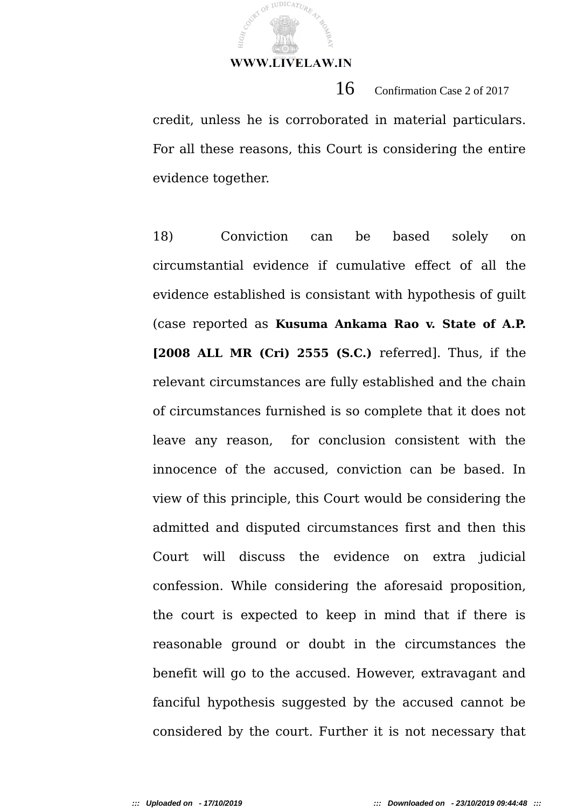JUDICATUR

credit, unless he is corroborated in material particulars. For all these reasons, this Court is considering the entire evidence together.

 $16$  Confirmation Case 2 of 2017

18) Conviction can be based solely on circumstantial evidence if cumulative effect of all the evidence established is consistant with hypothesis of guilt (case reported as **Kusuma Ankama Rao v. State of A.P. [2008 ALL MR (Cri) 2555 (S.C.)** referred]. Thus, if the relevant circumstances are fully established and the chain of circumstances furnished is so complete that it does not leave any reason, for conclusion consistent with the innocence of the accused, conviction can be based. In view of this principle, this Court would be considering the admitted and disputed circumstances first and then this Court will discuss the evidence on extra judicial confession. While considering the aforesaid proposition, the court is expected to keep in mind that if there is reasonable ground or doubt in the circumstances the benefit will go to the accused. However, extravagant and fanciful hypothesis suggested by the accused cannot be considered by the court. Further it is not necessary that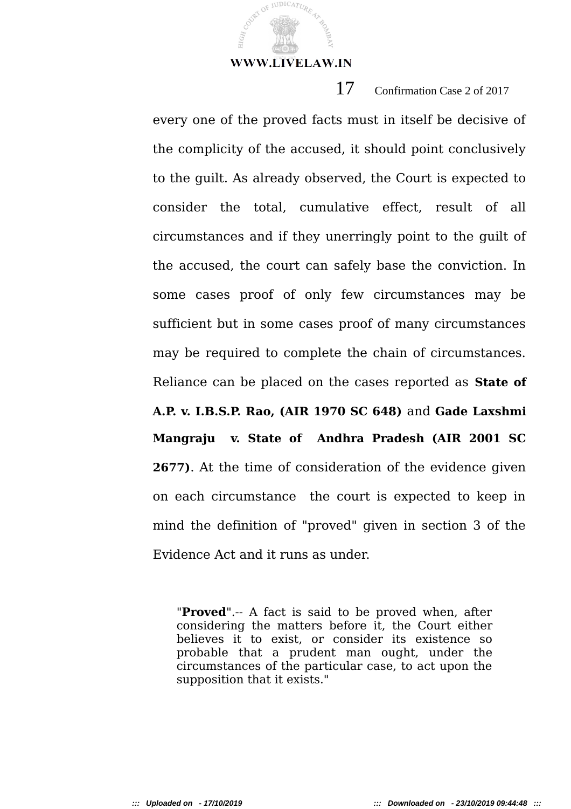Cover of JUDICATURE

HIG<sub>H</sub>

17 Confirmation Case 2 of 2017

every one of the proved facts must in itself be decisive of the complicity of the accused, it should point conclusively to the guilt. As already observed, the Court is expected to consider the total, cumulative effect, result of all circumstances and if they unerringly point to the guilt of the accused, the court can safely base the conviction. In some cases proof of only few circumstances may be sufficient but in some cases proof of many circumstances may be required to complete the chain of circumstances. Reliance can be placed on the cases reported as **State of A.P. v. I.B.S.P. Rao, (AIR 1970 SC 648)** and **Gade Laxshmi Mangraju v. State of Andhra Pradesh (AIR 2001 SC 2677)**. At the time of consideration of the evidence given on each circumstance the court is expected to keep in mind the definition of "proved" given in section 3 of the Evidence Act and it runs as under.

"**Proved**".-- A fact is said to be proved when, after considering the matters before it, the Court either believes it to exist, or consider its existence so probable that a prudent man ought, under the circumstances of the particular case, to act upon the supposition that it exists."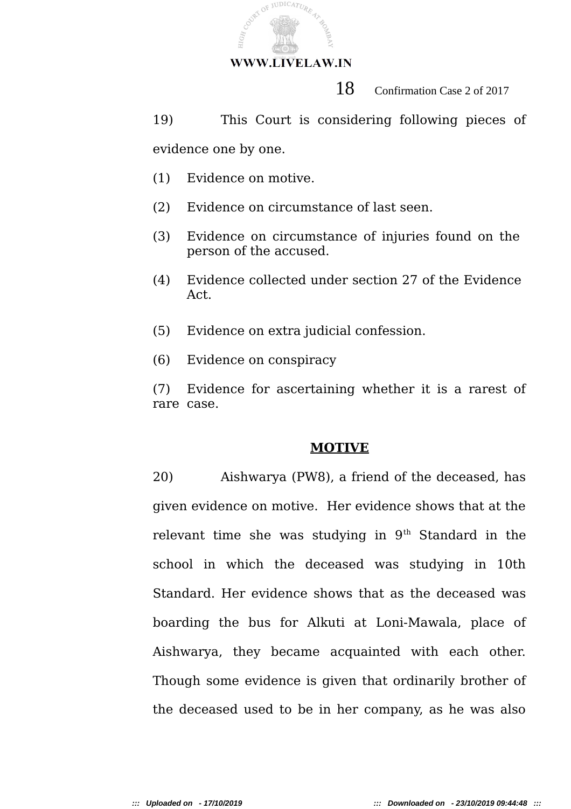

18 Confirmation Case 2 of 2017

19) This Court is considering following pieces of evidence one by one.

- (1) Evidence on motive.
- (2) Evidence on circumstance of last seen.
- (3) Evidence on circumstance of injuries found on the person of the accused.
- (4) Evidence collected under section 27 of the Evidence Act.
- (5) Evidence on extra judicial confession.
- (6) Evidence on conspiracy

(7) Evidence for ascertaining whether it is a rarest of rare case.

## **MOTIVE**

20) Aishwarya (PW8), a friend of the deceased, has given evidence on motive. Her evidence shows that at the relevant time she was studying in  $9<sup>th</sup>$  Standard in the school in which the deceased was studying in 10th Standard. Her evidence shows that as the deceased was boarding the bus for Alkuti at Loni-Mawala, place of Aishwarya, they became acquainted with each other. Though some evidence is given that ordinarily brother of the deceased used to be in her company, as he was also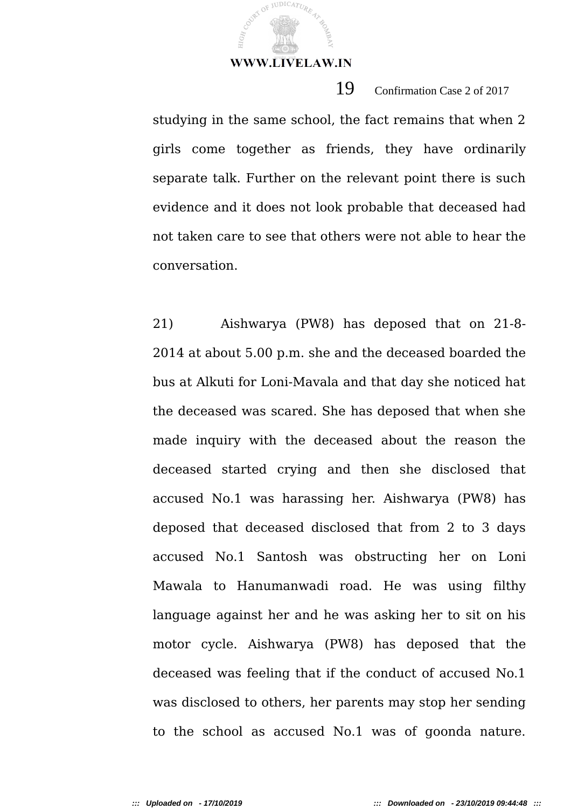JUDICATUR

19 Confirmation Case 2 of 2017

studying in the same school, the fact remains that when 2 girls come together as friends, they have ordinarily separate talk. Further on the relevant point there is such evidence and it does not look probable that deceased had not taken care to see that others were not able to hear the conversation.

21) Aishwarya (PW8) has deposed that on 21-8- 2014 at about 5.00 p.m. she and the deceased boarded the bus at Alkuti for Loni-Mavala and that day she noticed hat the deceased was scared. She has deposed that when she made inquiry with the deceased about the reason the deceased started crying and then she disclosed that accused No.1 was harassing her. Aishwarya (PW8) has deposed that deceased disclosed that from 2 to 3 days accused No.1 Santosh was obstructing her on Loni Mawala to Hanumanwadi road. He was using filthy language against her and he was asking her to sit on his motor cycle. Aishwarya (PW8) has deposed that the deceased was feeling that if the conduct of accused No.1 was disclosed to others, her parents may stop her sending to the school as accused No.1 was of goonda nature.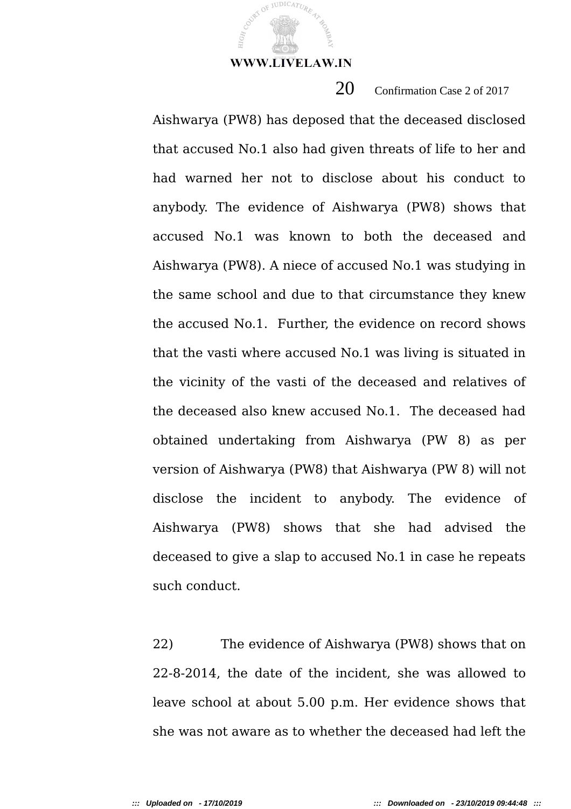JUDICATUR

# 20 Confirmation Case 2 of 2017

Aishwarya (PW8) has deposed that the deceased disclosed that accused No.1 also had given threats of life to her and had warned her not to disclose about his conduct to anybody. The evidence of Aishwarya (PW8) shows that accused No.1 was known to both the deceased and Aishwarya (PW8). A niece of accused No.1 was studying in the same school and due to that circumstance they knew the accused No.1. Further, the evidence on record shows that the vasti where accused No.1 was living is situated in the vicinity of the vasti of the deceased and relatives of the deceased also knew accused No.1. The deceased had obtained undertaking from Aishwarya (PW 8) as per version of Aishwarya (PW8) that Aishwarya (PW 8) will not disclose the incident to anybody. The evidence of Aishwarya (PW8) shows that she had advised the deceased to give a slap to accused No.1 in case he repeats such conduct.

22) The evidence of Aishwarya (PW8) shows that on 22-8-2014, the date of the incident, she was allowed to leave school at about 5.00 p.m. Her evidence shows that she was not aware as to whether the deceased had left the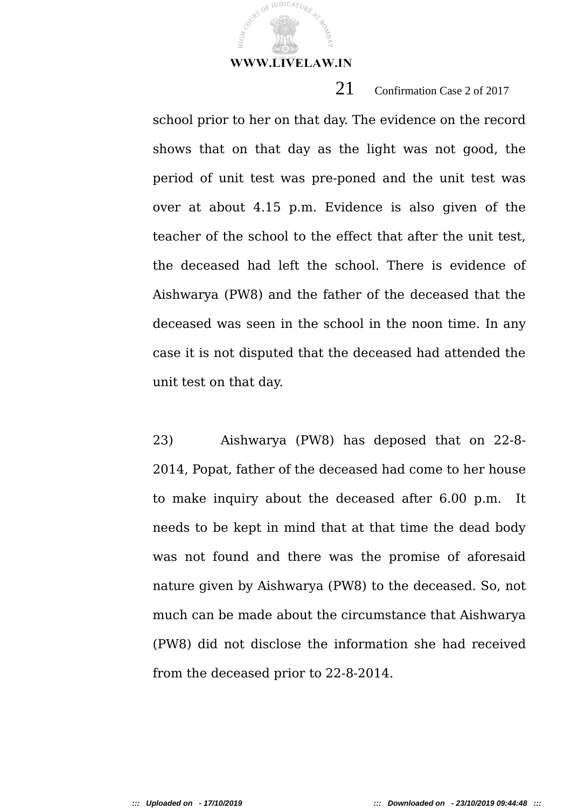**JUDICATUR** 

# 21 Confirmation Case 2 of 2017

school prior to her on that day. The evidence on the record shows that on that day as the light was not good, the period of unit test was pre-poned and the unit test was over at about 4.15 p.m. Evidence is also given of the teacher of the school to the effect that after the unit test, the deceased had left the school. There is evidence of Aishwarya (PW8) and the father of the deceased that the deceased was seen in the school in the noon time. In any case it is not disputed that the deceased had attended the unit test on that day.

23) Aishwarya (PW8) has deposed that on 22-8- 2014, Popat, father of the deceased had come to her house to make inquiry about the deceased after 6.00 p.m. It needs to be kept in mind that at that time the dead body was not found and there was the promise of aforesaid nature given by Aishwarya (PW8) to the deceased. So, not much can be made about the circumstance that Aishwarya (PW8) did not disclose the information she had received from the deceased prior to 22-8-2014.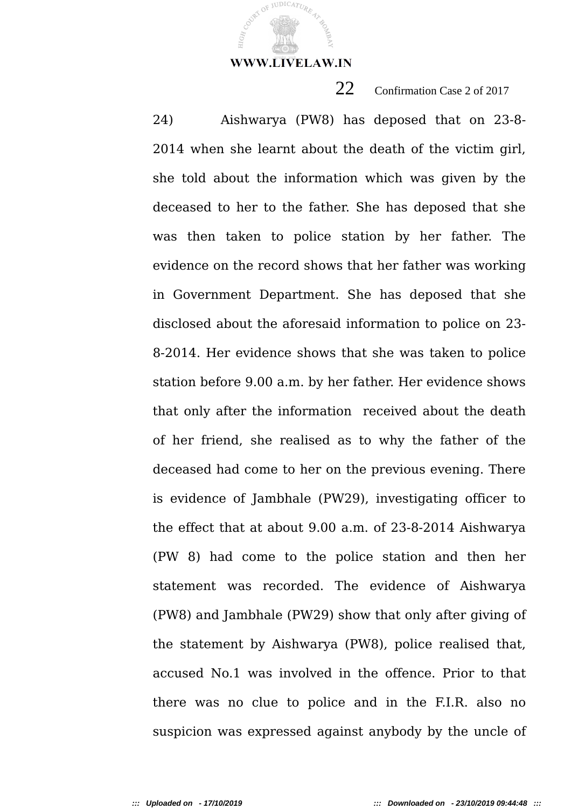JUDICATUR

22 Confirmation Case 2 of 2017

24) Aishwarya (PW8) has deposed that on 23-8- 2014 when she learnt about the death of the victim girl, she told about the information which was given by the deceased to her to the father. She has deposed that she was then taken to police station by her father. The evidence on the record shows that her father was working in Government Department. She has deposed that she disclosed about the aforesaid information to police on 23- 8-2014. Her evidence shows that she was taken to police station before 9.00 a.m. by her father. Her evidence shows that only after the information received about the death of her friend, she realised as to why the father of the deceased had come to her on the previous evening. There is evidence of Jambhale (PW29), investigating officer to the effect that at about 9.00 a.m. of 23-8-2014 Aishwarya (PW 8) had come to the police station and then her statement was recorded. The evidence of Aishwarya (PW8) and Jambhale (PW29) show that only after giving of the statement by Aishwarya (PW8), police realised that, accused No.1 was involved in the offence. Prior to that there was no clue to police and in the F.I.R. also no suspicion was expressed against anybody by the uncle of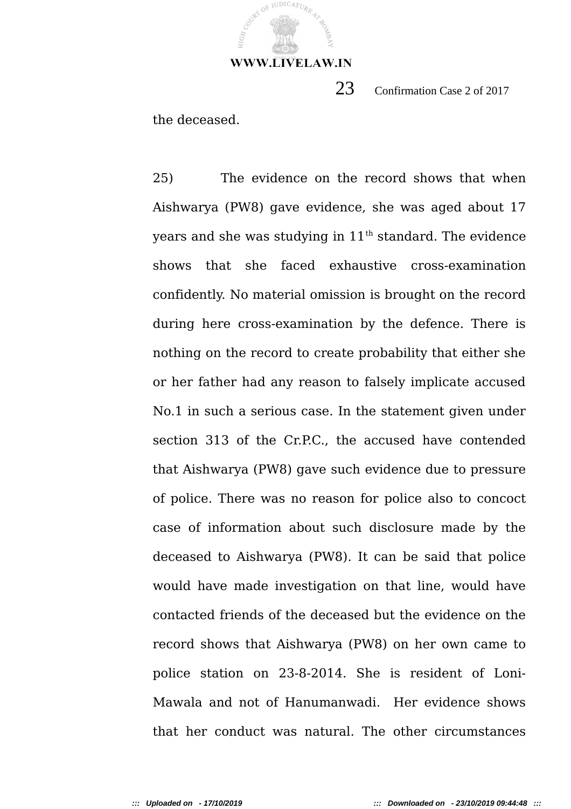

23 Confirmation Case 2 of 2017

the deceased.

25) The evidence on the record shows that when Aishwarya (PW8) gave evidence, she was aged about 17 years and she was studying in  $11<sup>th</sup>$  standard. The evidence shows that she faced exhaustive cross-examination confidently. No material omission is brought on the record during here cross-examination by the defence. There is nothing on the record to create probability that either she or her father had any reason to falsely implicate accused No.1 in such a serious case. In the statement given under section 313 of the Cr.P.C., the accused have contended that Aishwarya (PW8) gave such evidence due to pressure of police. There was no reason for police also to concoct case of information about such disclosure made by the deceased to Aishwarya (PW8). It can be said that police would have made investigation on that line, would have contacted friends of the deceased but the evidence on the record shows that Aishwarya (PW8) on her own came to police station on 23-8-2014. She is resident of Loni-Mawala and not of Hanumanwadi. Her evidence shows that her conduct was natural. The other circumstances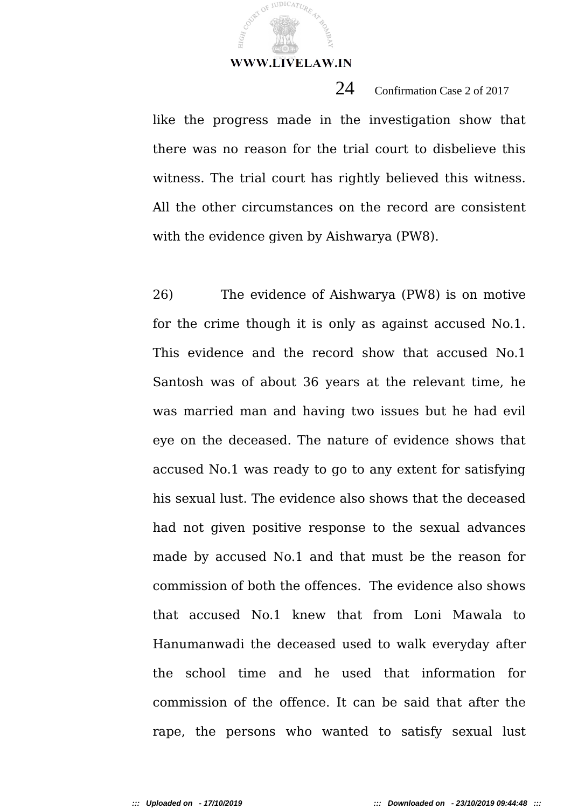JUDICATUR

like the progress made in the investigation show that there was no reason for the trial court to disbelieve this witness. The trial court has rightly believed this witness. All the other circumstances on the record are consistent with the evidence given by Aishwarya (PW8).

24 Confirmation Case 2 of 2017

26) The evidence of Aishwarya (PW8) is on motive for the crime though it is only as against accused No.1. This evidence and the record show that accused No.1 Santosh was of about 36 years at the relevant time, he was married man and having two issues but he had evil eye on the deceased. The nature of evidence shows that accused No.1 was ready to go to any extent for satisfying his sexual lust. The evidence also shows that the deceased had not given positive response to the sexual advances made by accused No.1 and that must be the reason for commission of both the offences. The evidence also shows that accused No.1 knew that from Loni Mawala to Hanumanwadi the deceased used to walk everyday after the school time and he used that information for commission of the offence. It can be said that after the rape, the persons who wanted to satisfy sexual lust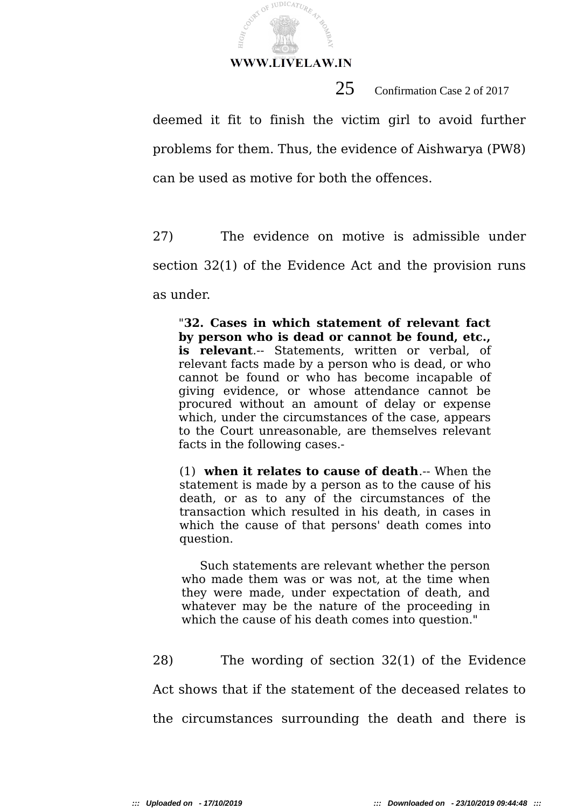JUDICATURI

HIGH,

25 Confirmation Case 2 of 2017

deemed it fit to finish the victim girl to avoid further problems for them. Thus, the evidence of Aishwarya (PW8) can be used as motive for both the offences.

27) The evidence on motive is admissible under section 32(1) of the Evidence Act and the provision runs as under.

"**32. Cases in which statement of relevant fact by person who is dead or cannot be found, etc., is relevant**.-- Statements, written or verbal, of relevant facts made by a person who is dead, or who cannot be found or who has become incapable of giving evidence, or whose attendance cannot be procured without an amount of delay or expense which, under the circumstances of the case, appears to the Court unreasonable, are themselves relevant facts in the following cases.-

(1) **when it relates to cause of death**.-- When the statement is made by a person as to the cause of his death, or as to any of the circumstances of the transaction which resulted in his death, in cases in which the cause of that persons' death comes into question.

 Such statements are relevant whether the person who made them was or was not, at the time when they were made, under expectation of death, and whatever may be the nature of the proceeding in which the cause of his death comes into question."

28) The wording of section 32(1) of the Evidence Act shows that if the statement of the deceased relates to the circumstances surrounding the death and there is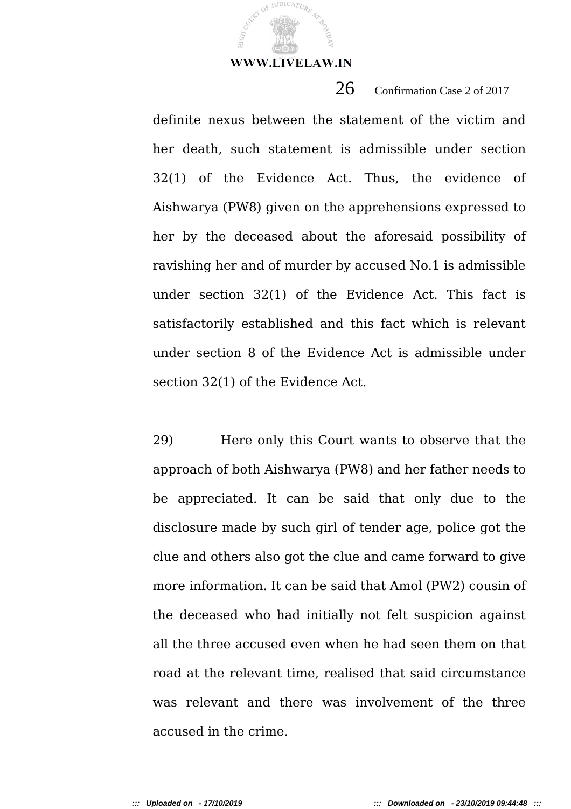**JUDICATUR** 

definite nexus between the statement of the victim and her death, such statement is admissible under section 32(1) of the Evidence Act. Thus, the evidence of Aishwarya (PW8) given on the apprehensions expressed to her by the deceased about the aforesaid possibility of ravishing her and of murder by accused No.1 is admissible under section 32(1) of the Evidence Act. This fact is satisfactorily established and this fact which is relevant under section 8 of the Evidence Act is admissible under section 32(1) of the Evidence Act.

 $26$  Confirmation Case 2 of 2017

29) Here only this Court wants to observe that the approach of both Aishwarya (PW8) and her father needs to be appreciated. It can be said that only due to the disclosure made by such girl of tender age, police got the clue and others also got the clue and came forward to give more information. It can be said that Amol (PW2) cousin of the deceased who had initially not felt suspicion against all the three accused even when he had seen them on that road at the relevant time, realised that said circumstance was relevant and there was involvement of the three accused in the crime.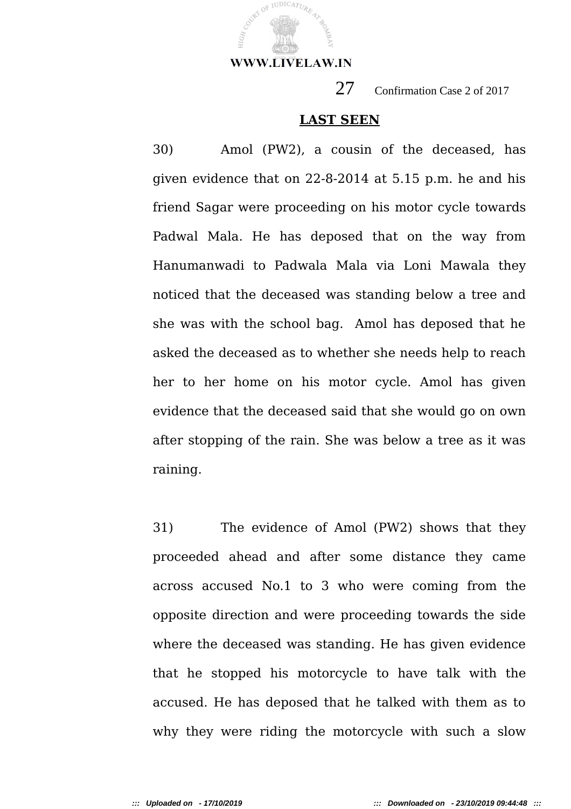

JUDICATUR

27 Confirmation Case 2 of 2017

## **LAST SEEN**

30) Amol (PW2), a cousin of the deceased, has given evidence that on 22-8-2014 at 5.15 p.m. he and his friend Sagar were proceeding on his motor cycle towards Padwal Mala. He has deposed that on the way from Hanumanwadi to Padwala Mala via Loni Mawala they noticed that the deceased was standing below a tree and she was with the school bag. Amol has deposed that he asked the deceased as to whether she needs help to reach her to her home on his motor cycle. Amol has given evidence that the deceased said that she would go on own after stopping of the rain. She was below a tree as it was raining.

31) The evidence of Amol (PW2) shows that they proceeded ahead and after some distance they came across accused No.1 to 3 who were coming from the opposite direction and were proceeding towards the side where the deceased was standing. He has given evidence that he stopped his motorcycle to have talk with the accused. He has deposed that he talked with them as to why they were riding the motorcycle with such a slow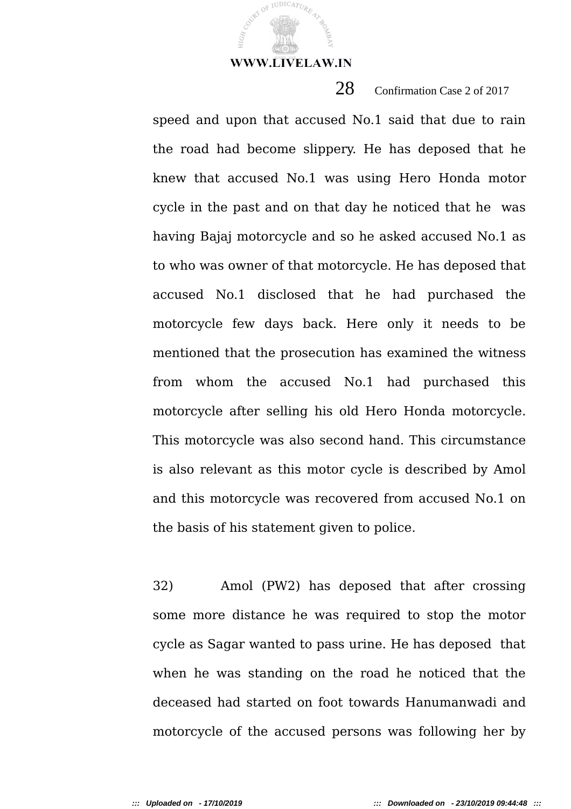JUDICATUR

28 Confirmation Case 2 of 2017

speed and upon that accused No.1 said that due to rain the road had become slippery. He has deposed that he knew that accused No.1 was using Hero Honda motor cycle in the past and on that day he noticed that he was having Bajaj motorcycle and so he asked accused No.1 as to who was owner of that motorcycle. He has deposed that accused No.1 disclosed that he had purchased the motorcycle few days back. Here only it needs to be mentioned that the prosecution has examined the witness from whom the accused No.1 had purchased this motorcycle after selling his old Hero Honda motorcycle. This motorcycle was also second hand. This circumstance is also relevant as this motor cycle is described by Amol and this motorcycle was recovered from accused No.1 on the basis of his statement given to police.

32) Amol (PW2) has deposed that after crossing some more distance he was required to stop the motor cycle as Sagar wanted to pass urine. He has deposed that when he was standing on the road he noticed that the deceased had started on foot towards Hanumanwadi and motorcycle of the accused persons was following her by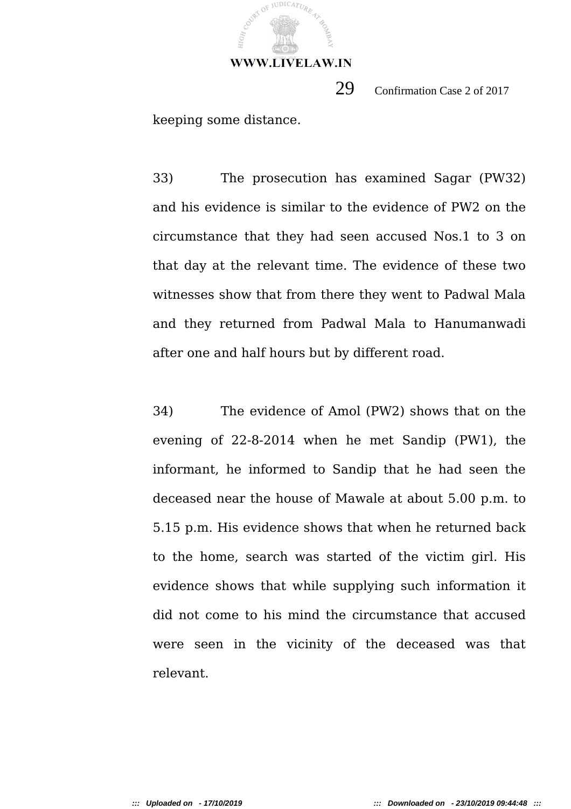

29 Confirmation Case 2 of 2017

keeping some distance.

33) The prosecution has examined Sagar (PW32) and his evidence is similar to the evidence of PW2 on the circumstance that they had seen accused Nos.1 to 3 on that day at the relevant time. The evidence of these two witnesses show that from there they went to Padwal Mala and they returned from Padwal Mala to Hanumanwadi after one and half hours but by different road.

34) The evidence of Amol (PW2) shows that on the evening of 22-8-2014 when he met Sandip (PW1), the informant, he informed to Sandip that he had seen the deceased near the house of Mawale at about 5.00 p.m. to 5.15 p.m. His evidence shows that when he returned back to the home, search was started of the victim girl. His evidence shows that while supplying such information it did not come to his mind the circumstance that accused were seen in the vicinity of the deceased was that relevant.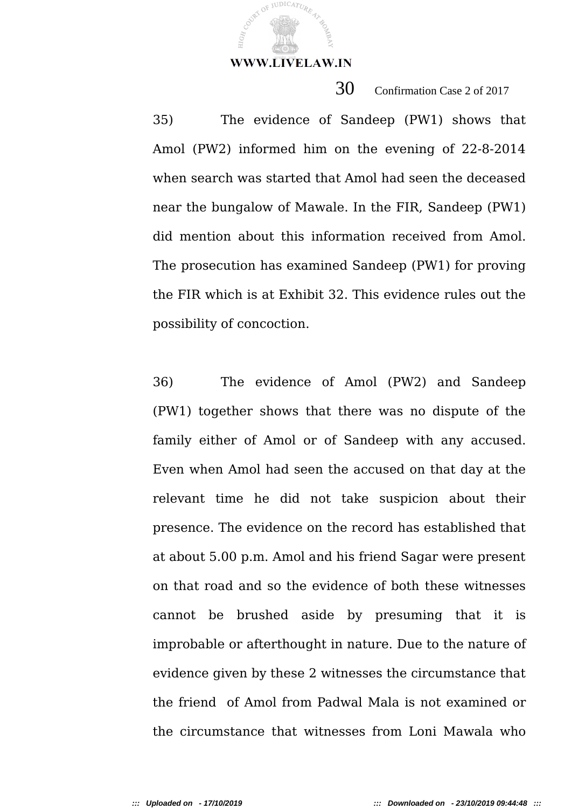JUDICATUR

30 Confirmation Case 2 of 2017

35) The evidence of Sandeep (PW1) shows that Amol (PW2) informed him on the evening of 22-8-2014 when search was started that Amol had seen the deceased near the bungalow of Mawale. In the FIR, Sandeep (PW1) did mention about this information received from Amol. The prosecution has examined Sandeep (PW1) for proving the FIR which is at Exhibit 32. This evidence rules out the possibility of concoction.

36) The evidence of Amol (PW2) and Sandeep (PW1) together shows that there was no dispute of the family either of Amol or of Sandeep with any accused. Even when Amol had seen the accused on that day at the relevant time he did not take suspicion about their presence. The evidence on the record has established that at about 5.00 p.m. Amol and his friend Sagar were present on that road and so the evidence of both these witnesses cannot be brushed aside by presuming that it is improbable or afterthought in nature. Due to the nature of evidence given by these 2 witnesses the circumstance that the friend of Amol from Padwal Mala is not examined or the circumstance that witnesses from Loni Mawala who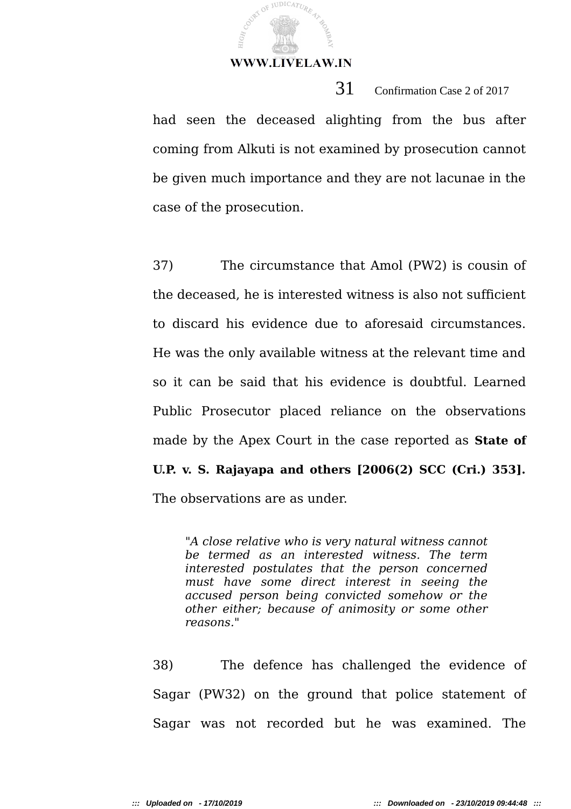COURT OF JUDICATURE

HGR,

31 Confirmation Case 2 of 2017

had seen the deceased alighting from the bus after coming from Alkuti is not examined by prosecution cannot be given much importance and they are not lacunae in the case of the prosecution.

37) The circumstance that Amol (PW2) is cousin of the deceased, he is interested witness is also not sufficient to discard his evidence due to aforesaid circumstances. He was the only available witness at the relevant time and so it can be said that his evidence is doubtful. Learned Public Prosecutor placed reliance on the observations made by the Apex Court in the case reported as **State of U.P. v. S. Rajayapa and others [2006(2) SCC (Cri.) 353].** The observations are as under.

*"A close relative who is very natural witness cannot be termed as an interested witness. The term interested postulates that the person concerned must have some direct interest in seeing the accused person being convicted somehow or the other either; because of animosity or some other reasons."*

38) The defence has challenged the evidence of Sagar (PW32) on the ground that police statement of Sagar was not recorded but he was examined. The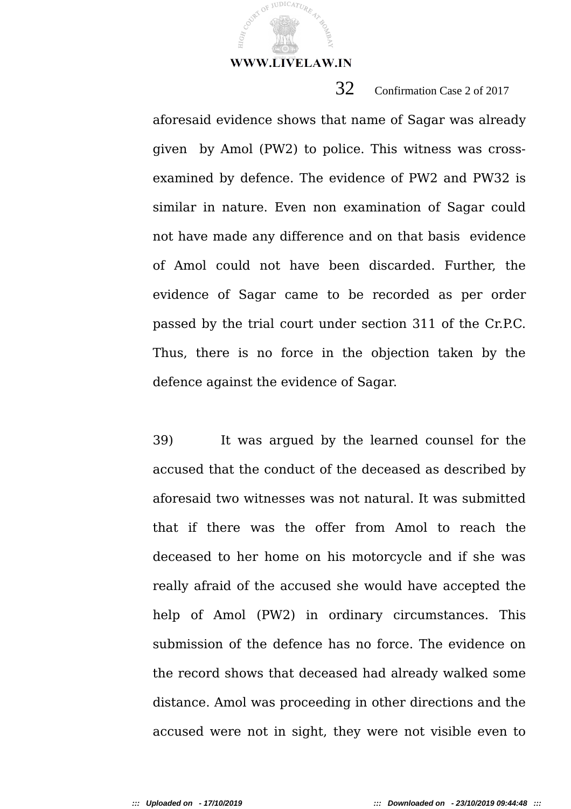**JUDICATUR** 

# 32 Confirmation Case 2 of 2017

aforesaid evidence shows that name of Sagar was already given by Amol (PW2) to police. This witness was crossexamined by defence. The evidence of PW2 and PW32 is similar in nature. Even non examination of Sagar could not have made any difference and on that basis evidence of Amol could not have been discarded. Further, the evidence of Sagar came to be recorded as per order passed by the trial court under section 311 of the Cr.P.C. Thus, there is no force in the objection taken by the defence against the evidence of Sagar.

39) It was argued by the learned counsel for the accused that the conduct of the deceased as described by aforesaid two witnesses was not natural. It was submitted that if there was the offer from Amol to reach the deceased to her home on his motorcycle and if she was really afraid of the accused she would have accepted the help of Amol (PW2) in ordinary circumstances. This submission of the defence has no force. The evidence on the record shows that deceased had already walked some distance. Amol was proceeding in other directions and the accused were not in sight, they were not visible even to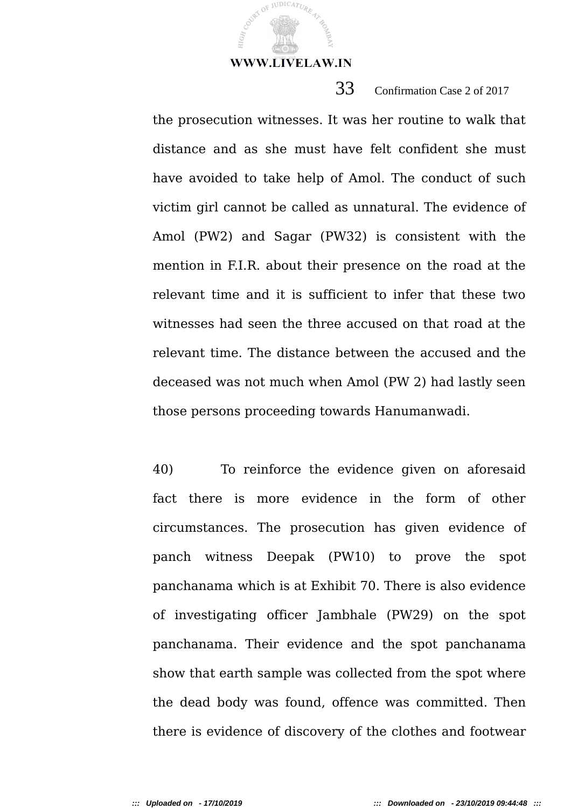**JUDICATUR** 

# 33 Confirmation Case 2 of 2017

the prosecution witnesses. It was her routine to walk that distance and as she must have felt confident she must have avoided to take help of Amol. The conduct of such victim girl cannot be called as unnatural. The evidence of Amol (PW2) and Sagar (PW32) is consistent with the mention in F.I.R. about their presence on the road at the relevant time and it is sufficient to infer that these two witnesses had seen the three accused on that road at the relevant time. The distance between the accused and the deceased was not much when Amol (PW 2) had lastly seen those persons proceeding towards Hanumanwadi.

40) To reinforce the evidence given on aforesaid fact there is more evidence in the form of other circumstances. The prosecution has given evidence of panch witness Deepak (PW10) to prove the spot panchanama which is at Exhibit 70. There is also evidence of investigating officer Jambhale (PW29) on the spot panchanama. Their evidence and the spot panchanama show that earth sample was collected from the spot where the dead body was found, offence was committed. Then there is evidence of discovery of the clothes and footwear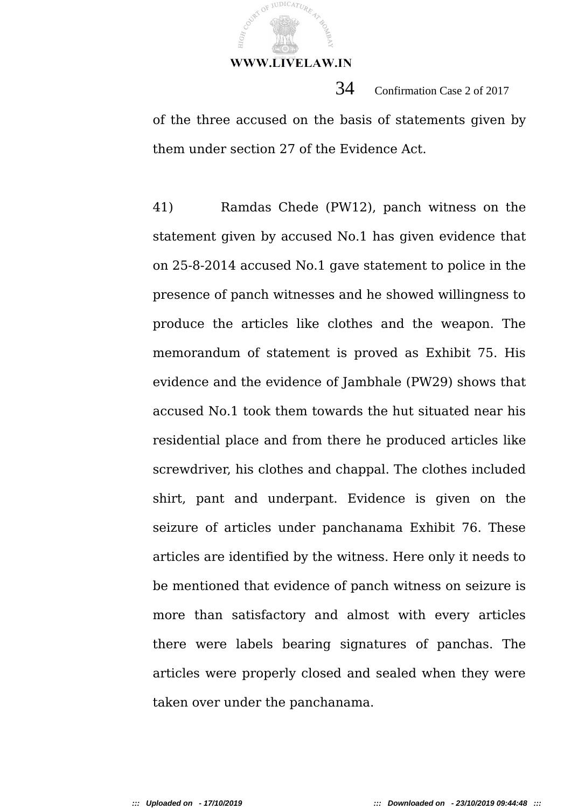**JUDICATUR** 

 34 Confirmation Case 2 of 2017 of the three accused on the basis of statements given by them under section 27 of the Evidence Act.

41) Ramdas Chede (PW12), panch witness on the statement given by accused No.1 has given evidence that on 25-8-2014 accused No.1 gave statement to police in the presence of panch witnesses and he showed willingness to produce the articles like clothes and the weapon. The memorandum of statement is proved as Exhibit 75. His evidence and the evidence of Jambhale (PW29) shows that accused No.1 took them towards the hut situated near his residential place and from there he produced articles like screwdriver, his clothes and chappal. The clothes included shirt, pant and underpant. Evidence is given on the seizure of articles under panchanama Exhibit 76. These articles are identified by the witness. Here only it needs to be mentioned that evidence of panch witness on seizure is more than satisfactory and almost with every articles there were labels bearing signatures of panchas. The articles were properly closed and sealed when they were taken over under the panchanama.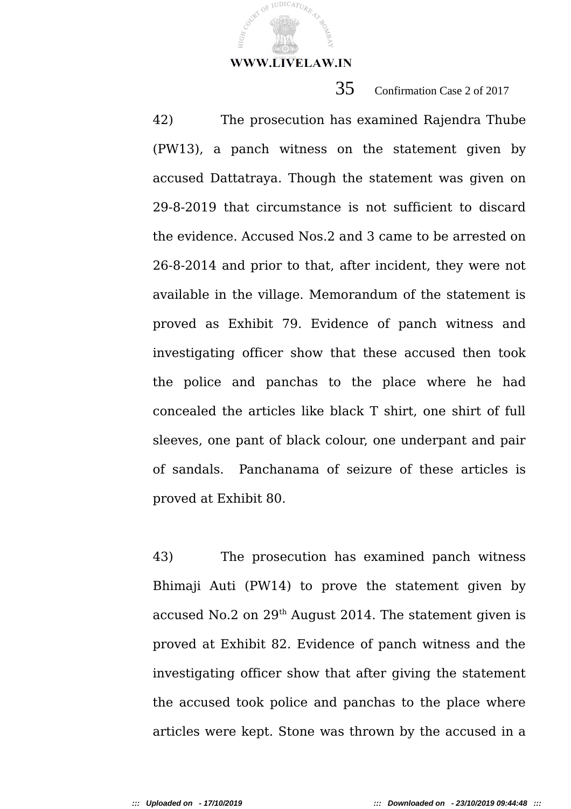JUDICATUR,

35 Confirmation Case 2 of 2017

42) The prosecution has examined Rajendra Thube (PW13), a panch witness on the statement given by accused Dattatraya. Though the statement was given on 29-8-2019 that circumstance is not sufficient to discard the evidence. Accused Nos.2 and 3 came to be arrested on 26-8-2014 and prior to that, after incident, they were not available in the village. Memorandum of the statement is proved as Exhibit 79. Evidence of panch witness and investigating officer show that these accused then took the police and panchas to the place where he had concealed the articles like black T shirt, one shirt of full sleeves, one pant of black colour, one underpant and pair of sandals. Panchanama of seizure of these articles is proved at Exhibit 80.

43) The prosecution has examined panch witness Bhimaji Auti (PW14) to prove the statement given by accused No.2 on 29th August 2014. The statement given is proved at Exhibit 82. Evidence of panch witness and the investigating officer show that after giving the statement the accused took police and panchas to the place where articles were kept. Stone was thrown by the accused in a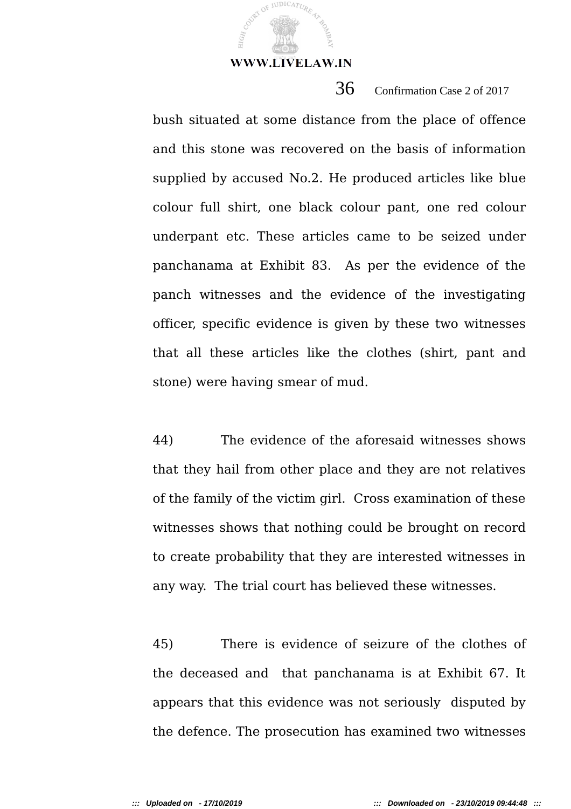JUDICATUR

36 Confirmation Case 2 of 2017

bush situated at some distance from the place of offence and this stone was recovered on the basis of information supplied by accused No.2. He produced articles like blue colour full shirt, one black colour pant, one red colour underpant etc. These articles came to be seized under panchanama at Exhibit 83. As per the evidence of the panch witnesses and the evidence of the investigating officer, specific evidence is given by these two witnesses that all these articles like the clothes (shirt, pant and stone) were having smear of mud.

44) The evidence of the aforesaid witnesses shows that they hail from other place and they are not relatives of the family of the victim girl. Cross examination of these witnesses shows that nothing could be brought on record to create probability that they are interested witnesses in any way. The trial court has believed these witnesses.

45) There is evidence of seizure of the clothes of the deceased and that panchanama is at Exhibit 67. It appears that this evidence was not seriously disputed by the defence. The prosecution has examined two witnesses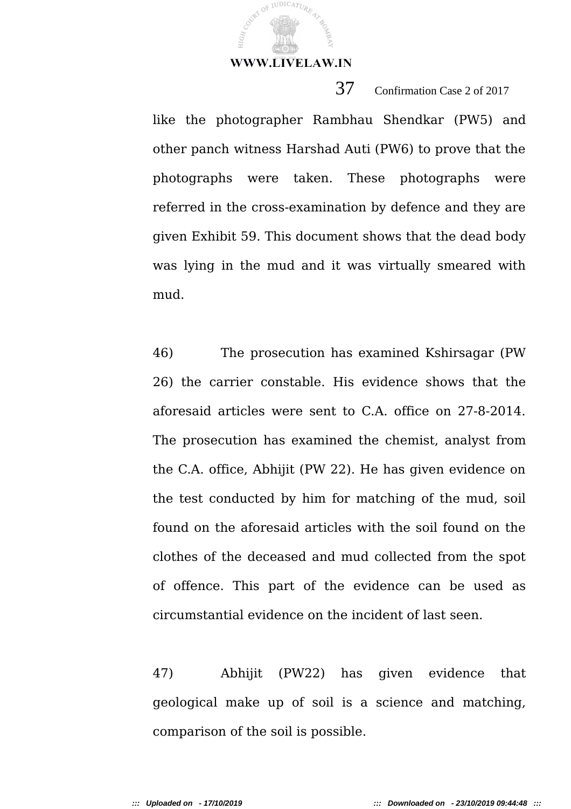JUDICATUR

37 Confirmation Case 2 of 2017

like the photographer Rambhau Shendkar (PW5) and other panch witness Harshad Auti (PW6) to prove that the photographs were taken. These photographs were referred in the cross-examination by defence and they are given Exhibit 59. This document shows that the dead body was lying in the mud and it was virtually smeared with mud.

46) The prosecution has examined Kshirsagar (PW 26) the carrier constable. His evidence shows that the aforesaid articles were sent to C.A. office on 27-8-2014. The prosecution has examined the chemist, analyst from the C.A. office, Abhijit (PW 22). He has given evidence on the test conducted by him for matching of the mud, soil found on the aforesaid articles with the soil found on the clothes of the deceased and mud collected from the spot of offence. This part of the evidence can be used as circumstantial evidence on the incident of last seen.

47) Abhijit (PW22) has given evidence that geological make up of soil is a science and matching, comparison of the soil is possible.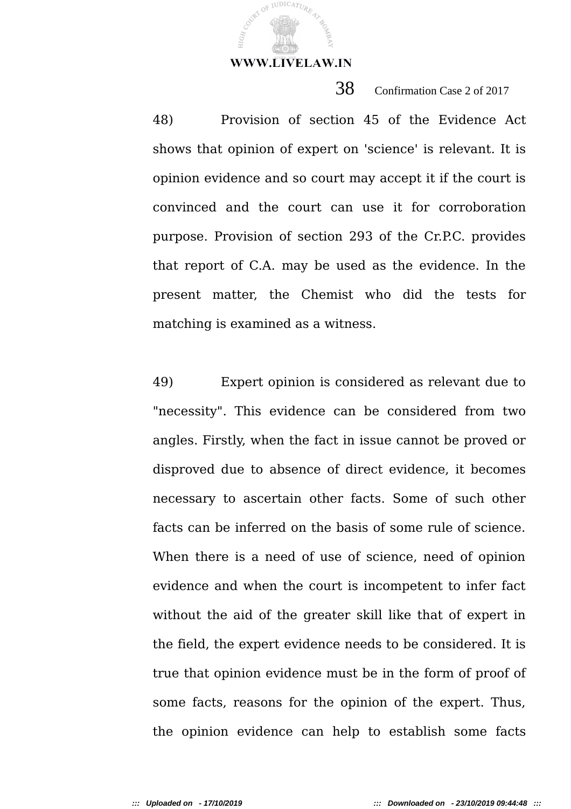JUDICATUR

38 Confirmation Case 2 of 2017

48) Provision of section 45 of the Evidence Act shows that opinion of expert on 'science' is relevant. It is opinion evidence and so court may accept it if the court is convinced and the court can use it for corroboration purpose. Provision of section 293 of the Cr.P.C. provides that report of C.A. may be used as the evidence. In the present matter, the Chemist who did the tests for matching is examined as a witness.

49) Expert opinion is considered as relevant due to "necessity". This evidence can be considered from two angles. Firstly, when the fact in issue cannot be proved or disproved due to absence of direct evidence, it becomes necessary to ascertain other facts. Some of such other facts can be inferred on the basis of some rule of science. When there is a need of use of science, need of opinion evidence and when the court is incompetent to infer fact without the aid of the greater skill like that of expert in the field, the expert evidence needs to be considered. It is true that opinion evidence must be in the form of proof of some facts, reasons for the opinion of the expert. Thus, the opinion evidence can help to establish some facts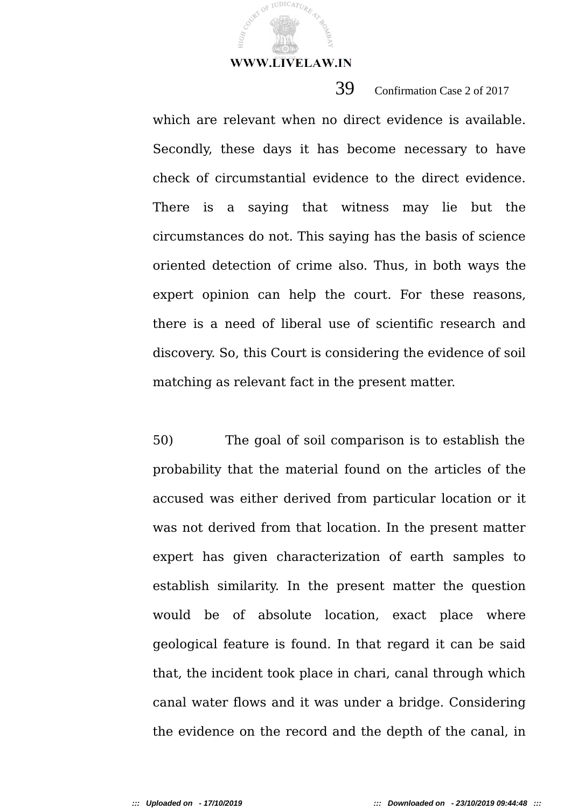**JUDICATUR** 

39 Confirmation Case 2 of 2017

which are relevant when no direct evidence is available. Secondly, these days it has become necessary to have check of circumstantial evidence to the direct evidence. There is a saying that witness may lie but the circumstances do not. This saying has the basis of science oriented detection of crime also. Thus, in both ways the expert opinion can help the court. For these reasons, there is a need of liberal use of scientific research and discovery. So, this Court is considering the evidence of soil matching as relevant fact in the present matter.

50) The goal of soil comparison is to establish the probability that the material found on the articles of the accused was either derived from particular location or it was not derived from that location. In the present matter expert has given characterization of earth samples to establish similarity. In the present matter the question would be of absolute location, exact place where geological feature is found. In that regard it can be said that, the incident took place in chari, canal through which canal water flows and it was under a bridge. Considering the evidence on the record and the depth of the canal, in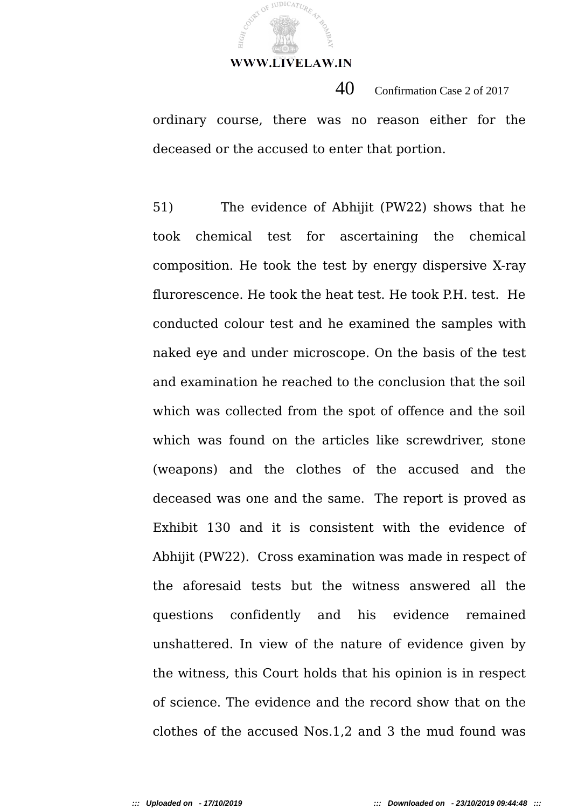

 $40$  Confirmation Case 2 of 2017 ordinary course, there was no reason either for the deceased or the accused to enter that portion.

51) The evidence of Abhijit (PW22) shows that he took chemical test for ascertaining the chemical composition. He took the test by energy dispersive X-ray flurorescence. He took the heat test. He took P.H. test. He conducted colour test and he examined the samples with naked eye and under microscope. On the basis of the test and examination he reached to the conclusion that the soil which was collected from the spot of offence and the soil which was found on the articles like screwdriver, stone (weapons) and the clothes of the accused and the deceased was one and the same. The report is proved as Exhibit 130 and it is consistent with the evidence of Abhijit (PW22). Cross examination was made in respect of the aforesaid tests but the witness answered all the questions confidently and his evidence remained unshattered. In view of the nature of evidence given by the witness, this Court holds that his opinion is in respect of science. The evidence and the record show that on the clothes of the accused Nos.1,2 and 3 the mud found was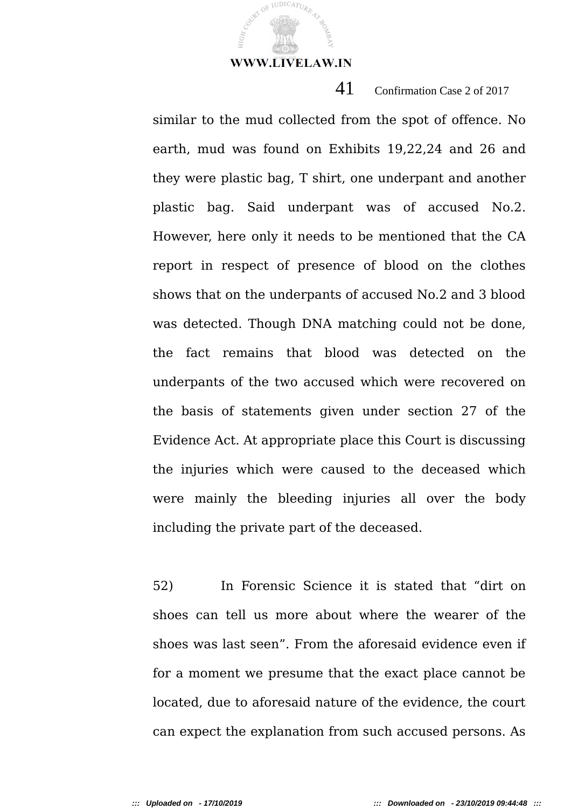JUDICATUR

41 Confirmation Case 2 of 2017

similar to the mud collected from the spot of offence. No earth, mud was found on Exhibits 19,22,24 and 26 and they were plastic bag, T shirt, one underpant and another plastic bag. Said underpant was of accused No.2. However, here only it needs to be mentioned that the CA report in respect of presence of blood on the clothes shows that on the underpants of accused No.2 and 3 blood was detected. Though DNA matching could not be done, the fact remains that blood was detected on the underpants of the two accused which were recovered on the basis of statements given under section 27 of the Evidence Act. At appropriate place this Court is discussing the injuries which were caused to the deceased which were mainly the bleeding injuries all over the body including the private part of the deceased.

52) In Forensic Science it is stated that "dirt on shoes can tell us more about where the wearer of the shoes was last seen". From the aforesaid evidence even if for a moment we presume that the exact place cannot be located, due to aforesaid nature of the evidence, the court can expect the explanation from such accused persons. As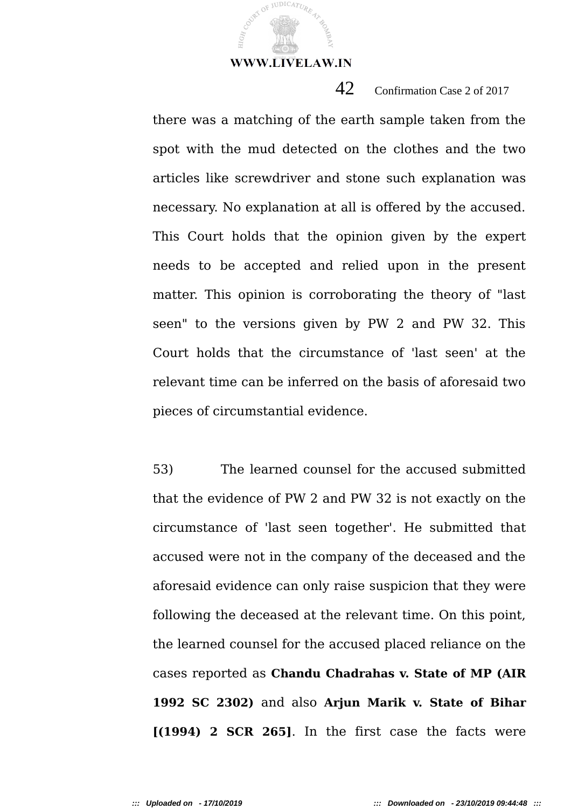JUDICATUR

42 Confirmation Case 2 of 2017

there was a matching of the earth sample taken from the spot with the mud detected on the clothes and the two articles like screwdriver and stone such explanation was necessary. No explanation at all is offered by the accused. This Court holds that the opinion given by the expert needs to be accepted and relied upon in the present matter. This opinion is corroborating the theory of "last seen" to the versions given by PW 2 and PW 32. This Court holds that the circumstance of 'last seen' at the relevant time can be inferred on the basis of aforesaid two pieces of circumstantial evidence.

53) The learned counsel for the accused submitted that the evidence of PW 2 and PW 32 is not exactly on the circumstance of 'last seen together'. He submitted that accused were not in the company of the deceased and the aforesaid evidence can only raise suspicion that they were following the deceased at the relevant time. On this point, the learned counsel for the accused placed reliance on the cases reported as **Chandu Chadrahas v. State of MP (AIR 1992 SC 2302)** and also **Arjun Marik v. State of Bihar [(1994) 2 SCR 265]**. In the first case the facts were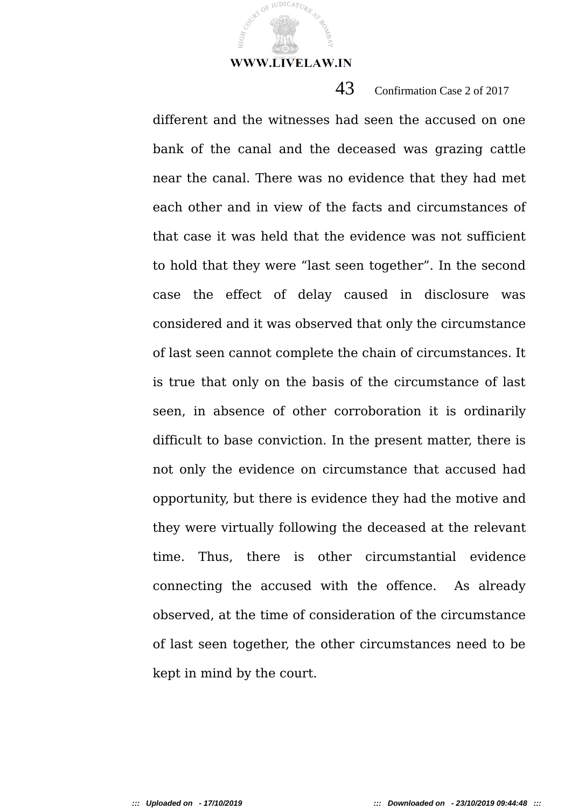**JUDICATUR** 

43 Confirmation Case 2 of 2017

different and the witnesses had seen the accused on one bank of the canal and the deceased was grazing cattle near the canal. There was no evidence that they had met each other and in view of the facts and circumstances of that case it was held that the evidence was not sufficient to hold that they were "last seen together". In the second case the effect of delay caused in disclosure was considered and it was observed that only the circumstance of last seen cannot complete the chain of circumstances. It is true that only on the basis of the circumstance of last seen, in absence of other corroboration it is ordinarily difficult to base conviction. In the present matter, there is not only the evidence on circumstance that accused had opportunity, but there is evidence they had the motive and they were virtually following the deceased at the relevant time. Thus, there is other circumstantial evidence connecting the accused with the offence. As already observed, at the time of consideration of the circumstance of last seen together, the other circumstances need to be kept in mind by the court.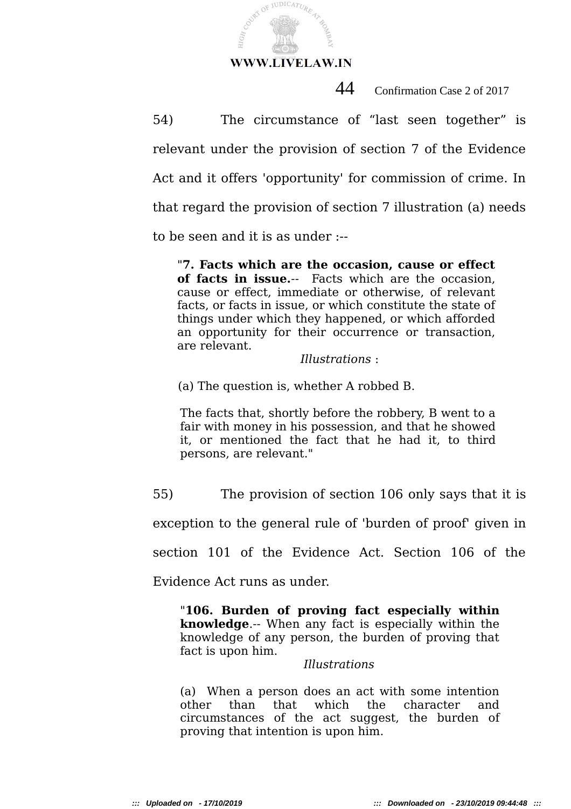

COURT OF JUDICATURE

 $_{\rm H1GHz}$ 

44 Confirmation Case 2 of 2017

54) The circumstance of "last seen together" is relevant under the provision of section 7 of the Evidence Act and it offers 'opportunity' for commission of crime. In that regard the provision of section 7 illustration (a) needs

to be seen and it is as under :--

"**7. Facts which are the occasion, cause or effect of facts in issue.**-- Facts which are the occasion, cause or effect, immediate or otherwise, of relevant facts, or facts in issue, or which constitute the state of things under which they happened, or which afforded an opportunity for their occurrence or transaction, are relevant.

*Illustrations* :

(a) The question is, whether A robbed B.

The facts that, shortly before the robbery, B went to a fair with money in his possession, and that he showed it, or mentioned the fact that he had it, to third persons, are relevant."

55) The provision of section 106 only says that it is

exception to the general rule of 'burden of proof' given in

section 101 of the Evidence Act. Section 106 of the

Evidence Act runs as under.

"**106. Burden of proving fact especially within knowledge**.-- When any fact is especially within the knowledge of any person, the burden of proving that fact is upon him.

*Illustrations*

(a) When a person does an act with some intention other than that which the character and circumstances of the act suggest, the burden of proving that intention is upon him.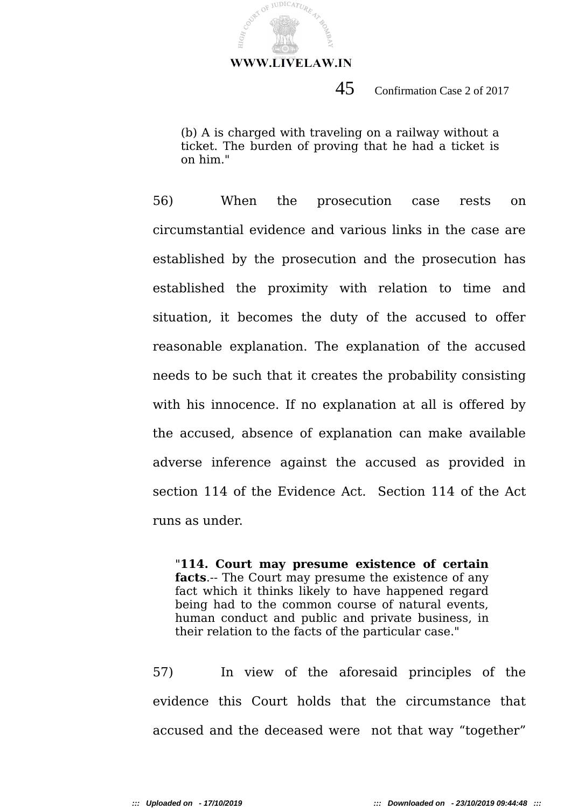COUNT OF JUDICATURE

HIG<sub>H</sub>

# $45$  Confirmation Case 2 of 2017

(b) A is charged with traveling on a railway without a ticket. The burden of proving that he had a ticket is on him."

56) When the prosecution case rests on circumstantial evidence and various links in the case are established by the prosecution and the prosecution has established the proximity with relation to time and situation, it becomes the duty of the accused to offer reasonable explanation. The explanation of the accused needs to be such that it creates the probability consisting with his innocence. If no explanation at all is offered by the accused, absence of explanation can make available adverse inference against the accused as provided in section 114 of the Evidence Act. Section 114 of the Act runs as under.

"**114. Court may presume existence of certain facts**.-- The Court may presume the existence of any fact which it thinks likely to have happened regard being had to the common course of natural events, human conduct and public and private business, in their relation to the facts of the particular case."

57) In view of the aforesaid principles of the evidence this Court holds that the circumstance that accused and the deceased were not that way "together"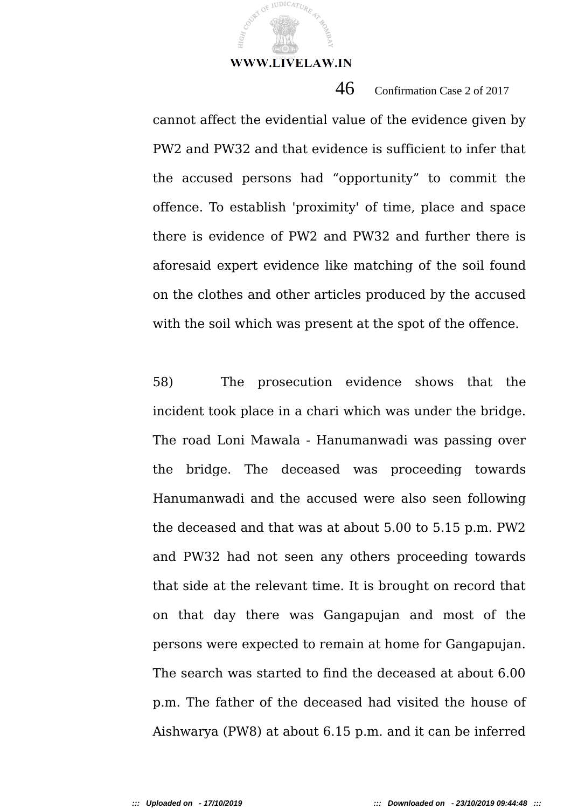**JUDICATUR** 

 $46$  Confirmation Case 2 of 2017

cannot affect the evidential value of the evidence given by PW2 and PW32 and that evidence is sufficient to infer that the accused persons had "opportunity" to commit the offence. To establish 'proximity' of time, place and space there is evidence of PW2 and PW32 and further there is aforesaid expert evidence like matching of the soil found on the clothes and other articles produced by the accused with the soil which was present at the spot of the offence.

58) The prosecution evidence shows that the incident took place in a chari which was under the bridge. The road Loni Mawala - Hanumanwadi was passing over the bridge. The deceased was proceeding towards Hanumanwadi and the accused were also seen following the deceased and that was at about 5.00 to 5.15 p.m. PW2 and PW32 had not seen any others proceeding towards that side at the relevant time. It is brought on record that on that day there was Gangapujan and most of the persons were expected to remain at home for Gangapujan. The search was started to find the deceased at about 6.00 p.m. The father of the deceased had visited the house of Aishwarya (PW8) at about 6.15 p.m. and it can be inferred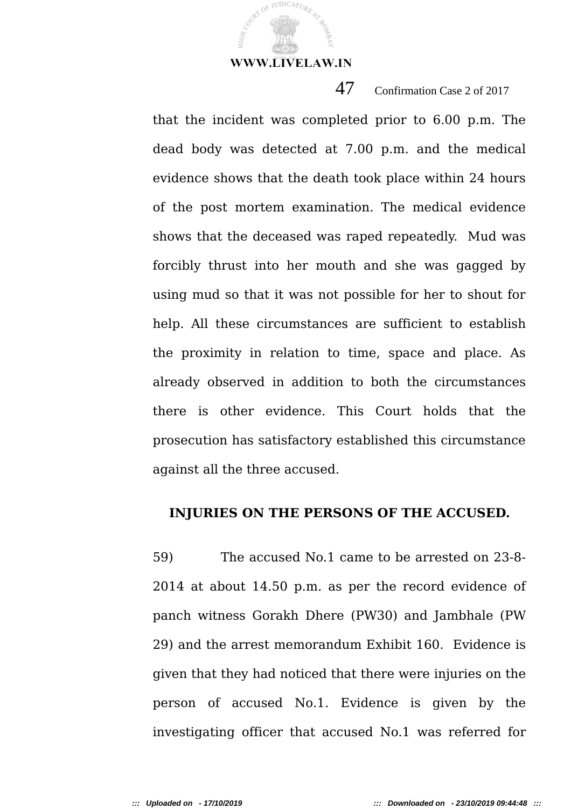JUDICATUR

47 Confirmation Case 2 of 2017

that the incident was completed prior to 6.00 p.m. The dead body was detected at 7.00 p.m. and the medical evidence shows that the death took place within 24 hours of the post mortem examination. The medical evidence shows that the deceased was raped repeatedly. Mud was forcibly thrust into her mouth and she was gagged by using mud so that it was not possible for her to shout for help. All these circumstances are sufficient to establish the proximity in relation to time, space and place. As already observed in addition to both the circumstances there is other evidence. This Court holds that the prosecution has satisfactory established this circumstance against all the three accused.

#### **INJURIES ON THE PERSONS OF THE ACCUSED.**

59) The accused No.1 came to be arrested on 23-8- 2014 at about 14.50 p.m. as per the record evidence of panch witness Gorakh Dhere (PW30) and Jambhale (PW 29) and the arrest memorandum Exhibit 160. Evidence is given that they had noticed that there were injuries on the person of accused No.1. Evidence is given by the investigating officer that accused No.1 was referred for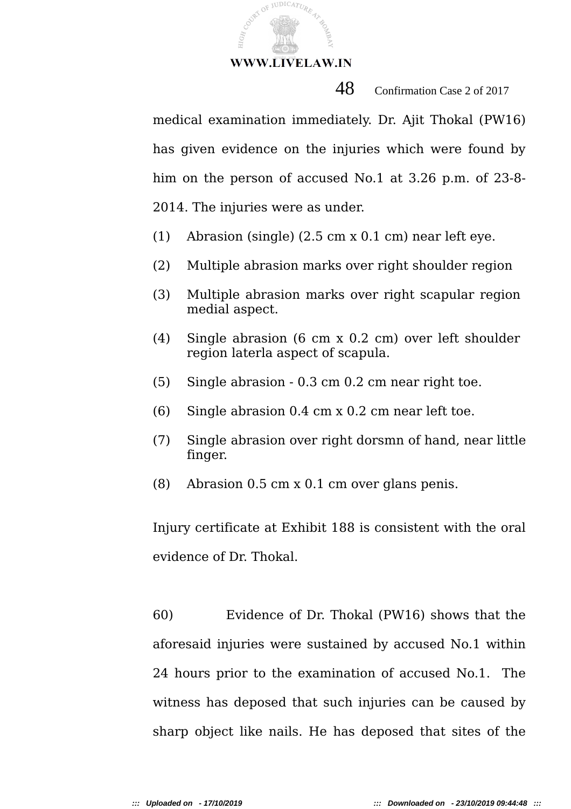COVEY OF JUDICATURE

48 Confirmation Case 2 of 2017

medical examination immediately. Dr. Ajit Thokal (PW16) has given evidence on the injuries which were found by him on the person of accused No.1 at 3.26 p.m. of 23-8- 2014. The injuries were as under.

- (1) Abrasion (single) (2.5 cm x 0.1 cm) near left eye.
- (2) Multiple abrasion marks over right shoulder region
- (3) Multiple abrasion marks over right scapular region medial aspect.
- (4) Single abrasion (6 cm x 0.2 cm) over left shoulder region laterla aspect of scapula.
- (5) Single abrasion 0.3 cm 0.2 cm near right toe.
- (6) Single abrasion 0.4 cm x 0.2 cm near left toe.
- (7) Single abrasion over right dorsmn of hand, near little finger.
- (8) Abrasion 0.5 cm x 0.1 cm over glans penis.

Injury certificate at Exhibit 188 is consistent with the oral evidence of Dr. Thokal.

60) Evidence of Dr. Thokal (PW16) shows that the aforesaid injuries were sustained by accused No.1 within 24 hours prior to the examination of accused No.1. The witness has deposed that such injuries can be caused by sharp object like nails. He has deposed that sites of the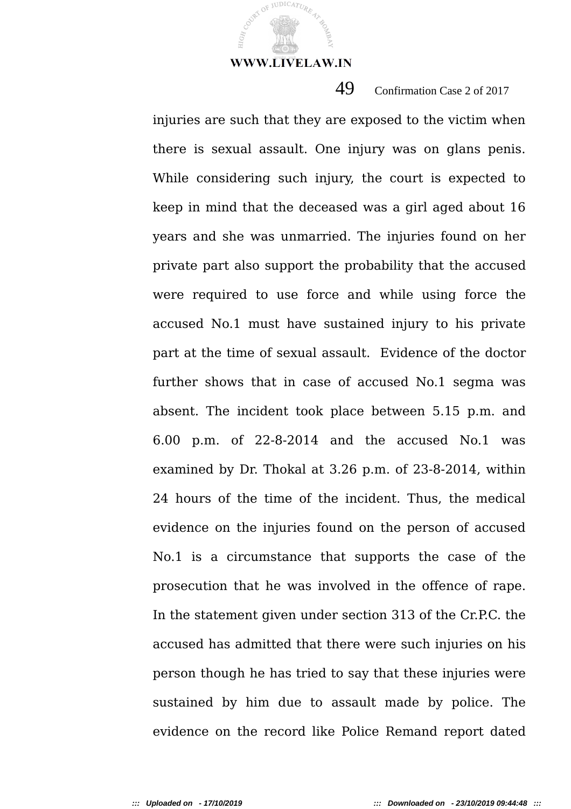JUDICATUR

49 Confirmation Case 2 of 2017

injuries are such that they are exposed to the victim when there is sexual assault. One injury was on glans penis. While considering such injury, the court is expected to keep in mind that the deceased was a girl aged about 16 years and she was unmarried. The injuries found on her private part also support the probability that the accused were required to use force and while using force the accused No.1 must have sustained injury to his private part at the time of sexual assault. Evidence of the doctor further shows that in case of accused No.1 segma was absent. The incident took place between 5.15 p.m. and 6.00 p.m. of 22-8-2014 and the accused No.1 was examined by Dr. Thokal at 3.26 p.m. of 23-8-2014, within 24 hours of the time of the incident. Thus, the medical evidence on the injuries found on the person of accused No.1 is a circumstance that supports the case of the prosecution that he was involved in the offence of rape. In the statement given under section 313 of the Cr.P.C. the accused has admitted that there were such injuries on his person though he has tried to say that these injuries were sustained by him due to assault made by police. The evidence on the record like Police Remand report dated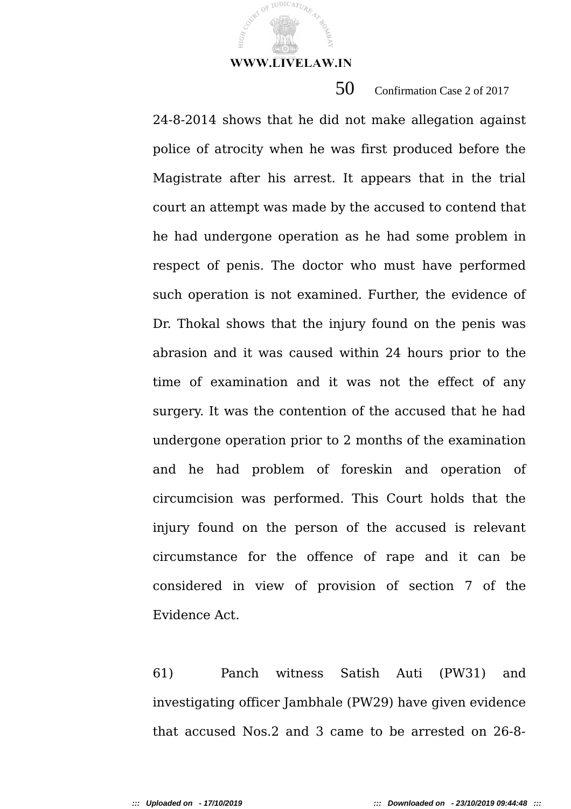JUDICATUR

50 Confirmation Case 2 of 2017

24-8-2014 shows that he did not make allegation against police of atrocity when he was first produced before the Magistrate after his arrest. It appears that in the trial court an attempt was made by the accused to contend that he had undergone operation as he had some problem in respect of penis. The doctor who must have performed such operation is not examined. Further, the evidence of Dr. Thokal shows that the injury found on the penis was abrasion and it was caused within 24 hours prior to the time of examination and it was not the effect of any surgery. It was the contention of the accused that he had undergone operation prior to 2 months of the examination and he had problem of foreskin and operation of circumcision was performed. This Court holds that the injury found on the person of the accused is relevant circumstance for the offence of rape and it can be considered in view of provision of section 7 of the Evidence Act.

61) Panch witness Satish Auti (PW31) and investigating officer Jambhale (PW29) have given evidence that accused Nos.2 and 3 came to be arrested on 26-8-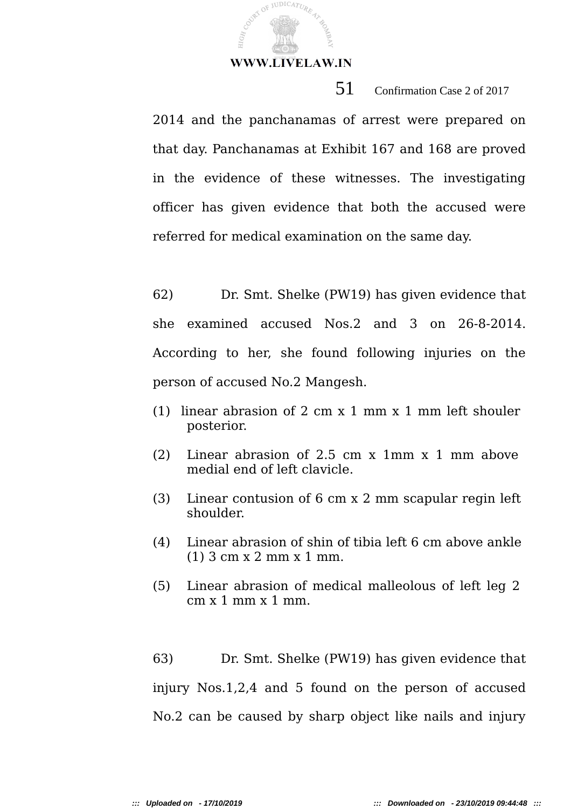JUDICATUR

51 Confirmation Case 2 of 2017

2014 and the panchanamas of arrest were prepared on that day. Panchanamas at Exhibit 167 and 168 are proved in the evidence of these witnesses. The investigating officer has given evidence that both the accused were referred for medical examination on the same day.

62) Dr. Smt. Shelke (PW19) has given evidence that she examined accused Nos.2 and 3 on 26-8-2014. According to her, she found following injuries on the person of accused No.2 Mangesh.

- (1) linear abrasion of 2 cm x 1 mm x 1 mm left shouler posterior.
- (2) Linear abrasion of 2.5 cm x 1mm x 1 mm above medial end of left clavicle.
- (3) Linear contusion of 6 cm x 2 mm scapular regin left shoulder.
- (4) Linear abrasion of shin of tibia left 6 cm above ankle (1) 3 cm x 2 mm x 1 mm.
- (5) Linear abrasion of medical malleolous of left leg 2  $cm \times 1$  mm  $\times 1$  mm.

63) Dr. Smt. Shelke (PW19) has given evidence that injury Nos.1,2,4 and 5 found on the person of accused No.2 can be caused by sharp object like nails and injury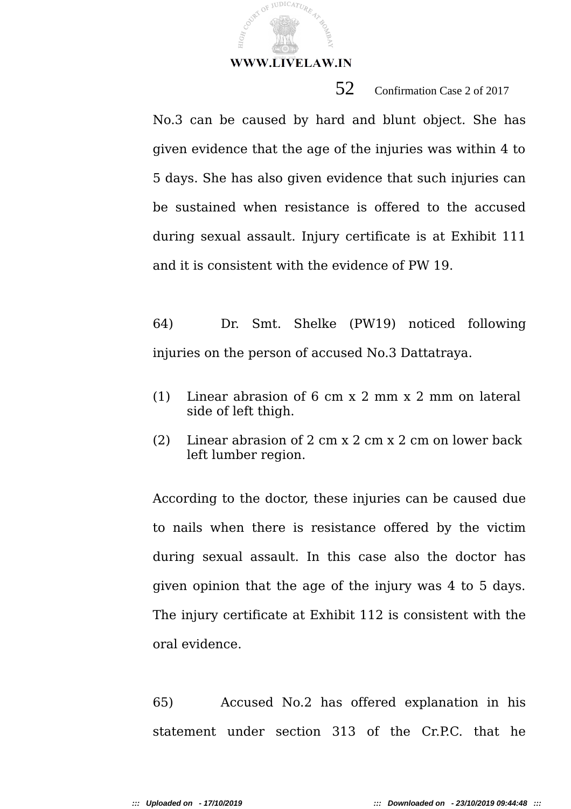COURT OF JUDICATURE

52 Confirmation Case 2 of 2017

No.3 can be caused by hard and blunt object. She has given evidence that the age of the injuries was within 4 to 5 days. She has also given evidence that such injuries can be sustained when resistance is offered to the accused during sexual assault. Injury certificate is at Exhibit 111 and it is consistent with the evidence of PW 19.

64) Dr. Smt. Shelke (PW19) noticed following injuries on the person of accused No.3 Dattatraya.

- (1) Linear abrasion of 6 cm x 2 mm x 2 mm on lateral side of left thigh.
- (2) Linear abrasion of 2 cm x 2 cm x 2 cm on lower back left lumber region.

According to the doctor, these injuries can be caused due to nails when there is resistance offered by the victim during sexual assault. In this case also the doctor has given opinion that the age of the injury was 4 to 5 days. The injury certificate at Exhibit 112 is consistent with the oral evidence.

65) Accused No.2 has offered explanation in his statement under section 313 of the Cr.P.C. that he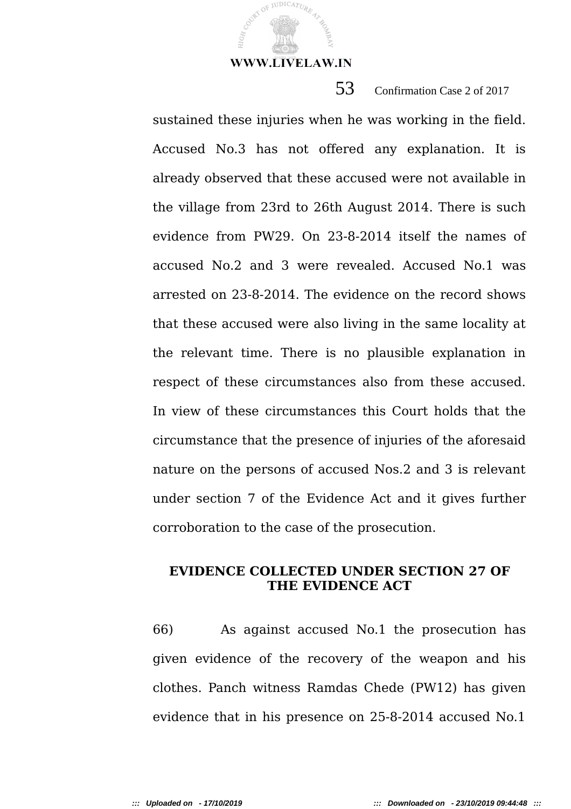JUDICATUR

53 Confirmation Case 2 of 2017

sustained these injuries when he was working in the field. Accused No.3 has not offered any explanation. It is already observed that these accused were not available in the village from 23rd to 26th August 2014. There is such evidence from PW29. On 23-8-2014 itself the names of accused No.2 and 3 were revealed. Accused No.1 was arrested on 23-8-2014. The evidence on the record shows that these accused were also living in the same locality at the relevant time. There is no plausible explanation in respect of these circumstances also from these accused. In view of these circumstances this Court holds that the circumstance that the presence of injuries of the aforesaid nature on the persons of accused Nos.2 and 3 is relevant under section 7 of the Evidence Act and it gives further corroboration to the case of the prosecution.

# **EVIDENCE COLLECTED UNDER SECTION 27 OF THE EVIDENCE ACT**

66) As against accused No.1 the prosecution has given evidence of the recovery of the weapon and his clothes. Panch witness Ramdas Chede (PW12) has given evidence that in his presence on 25-8-2014 accused No.1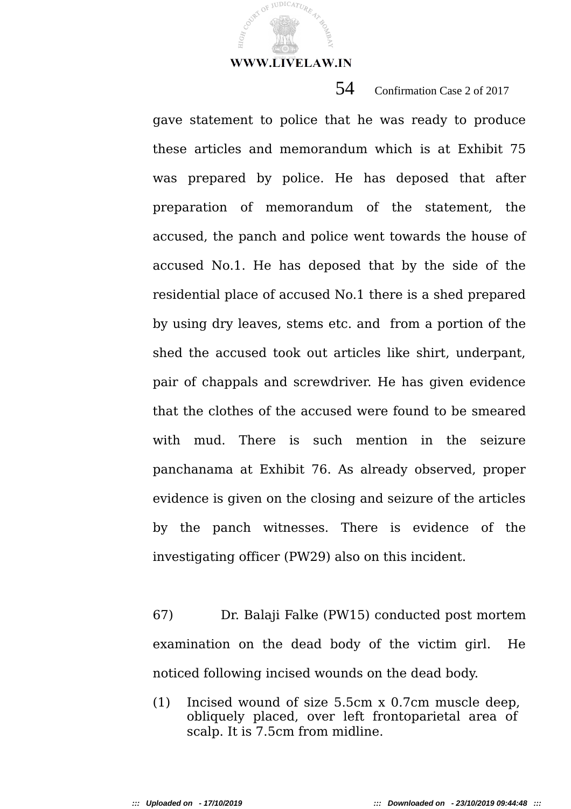COURT OF JUDICATURE

54 Confirmation Case 2 of 2017

gave statement to police that he was ready to produce these articles and memorandum which is at Exhibit 75 was prepared by police. He has deposed that after preparation of memorandum of the statement, the accused, the panch and police went towards the house of accused No.1. He has deposed that by the side of the residential place of accused No.1 there is a shed prepared by using dry leaves, stems etc. and from a portion of the shed the accused took out articles like shirt, underpant, pair of chappals and screwdriver. He has given evidence that the clothes of the accused were found to be smeared with mud. There is such mention in the seizure panchanama at Exhibit 76. As already observed, proper evidence is given on the closing and seizure of the articles by the panch witnesses. There is evidence of the investigating officer (PW29) also on this incident.

67) Dr. Balaji Falke (PW15) conducted post mortem examination on the dead body of the victim girl. He noticed following incised wounds on the dead body.

(1) Incised wound of size 5.5cm x 0.7cm muscle deep, obliquely placed, over left frontoparietal area of scalp. It is 7.5cm from midline.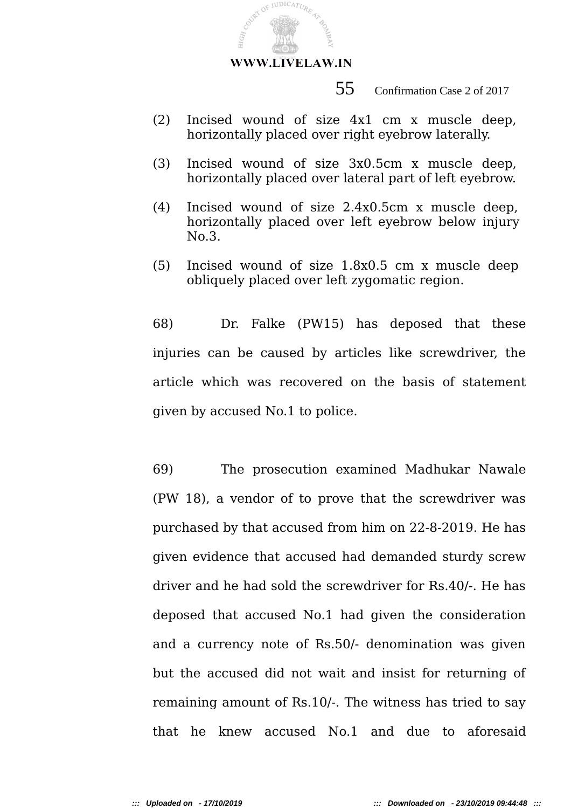

55 Confirmation Case 2 of 2017

- (2) Incised wound of size 4x1 cm x muscle deep, horizontally placed over right eyebrow laterally.
- (3) Incised wound of size 3x0.5cm x muscle deep, horizontally placed over lateral part of left eyebrow.
- (4) Incised wound of size 2.4x0.5cm x muscle deep, horizontally placed over left eyebrow below injury No.3.
- (5) Incised wound of size 1.8x0.5 cm x muscle deep obliquely placed over left zygomatic region.

68) Dr. Falke (PW15) has deposed that these injuries can be caused by articles like screwdriver, the article which was recovered on the basis of statement given by accused No.1 to police.

69) The prosecution examined Madhukar Nawale (PW 18), a vendor of to prove that the screwdriver was purchased by that accused from him on 22-8-2019. He has given evidence that accused had demanded sturdy screw driver and he had sold the screwdriver for Rs.40/-. He has deposed that accused No.1 had given the consideration and a currency note of Rs.50/- denomination was given but the accused did not wait and insist for returning of remaining amount of Rs.10/-. The witness has tried to say that he knew accused No.1 and due to aforesaid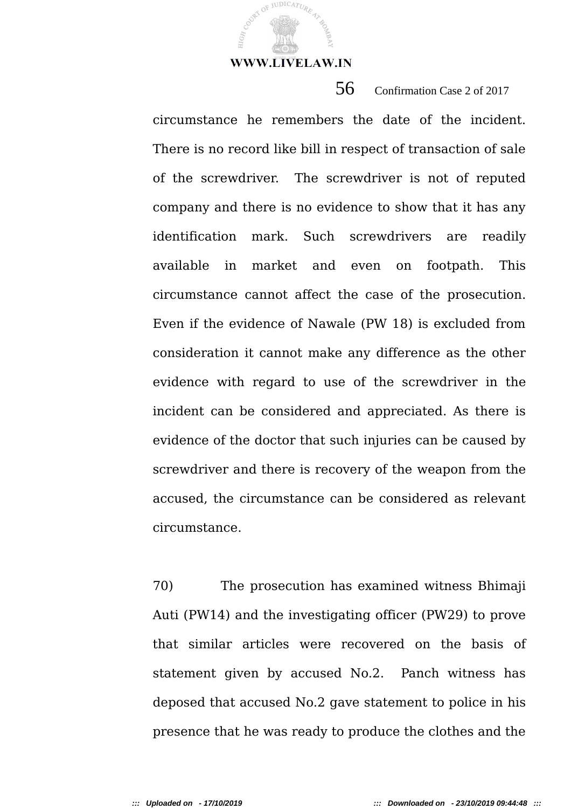JUDICATUR

circumstance he remembers the date of the incident. There is no record like bill in respect of transaction of sale of the screwdriver. The screwdriver is not of reputed company and there is no evidence to show that it has any identification mark. Such screwdrivers are readily available in market and even on footpath. This circumstance cannot affect the case of the prosecution. Even if the evidence of Nawale (PW 18) is excluded from consideration it cannot make any difference as the other evidence with regard to use of the screwdriver in the incident can be considered and appreciated. As there is evidence of the doctor that such injuries can be caused by screwdriver and there is recovery of the weapon from the accused, the circumstance can be considered as relevant circumstance.

56 Confirmation Case 2 of 2017

70) The prosecution has examined witness Bhimaji Auti (PW14) and the investigating officer (PW29) to prove that similar articles were recovered on the basis of statement given by accused No.2. Panch witness has deposed that accused No.2 gave statement to police in his presence that he was ready to produce the clothes and the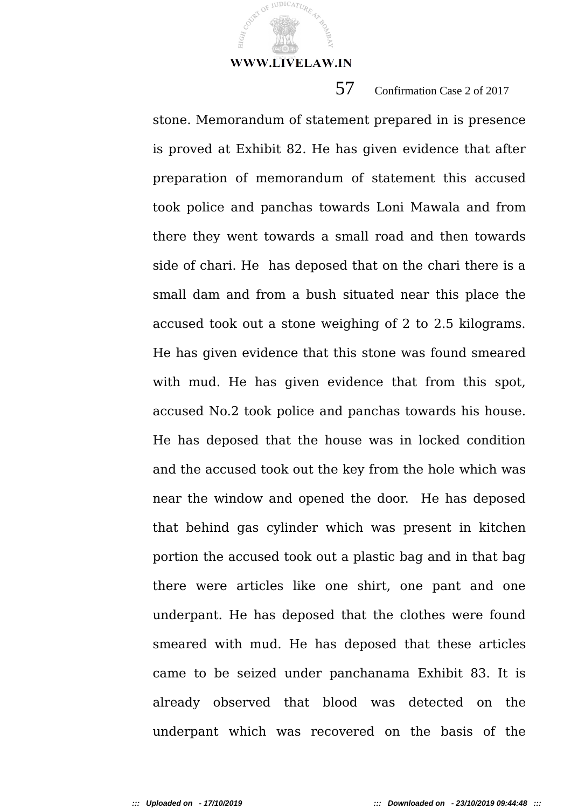**JUDICATUR** 

57 Confirmation Case 2 of 2017

stone. Memorandum of statement prepared in is presence is proved at Exhibit 82. He has given evidence that after preparation of memorandum of statement this accused took police and panchas towards Loni Mawala and from there they went towards a small road and then towards side of chari. He has deposed that on the chari there is a small dam and from a bush situated near this place the accused took out a stone weighing of 2 to 2.5 kilograms. He has given evidence that this stone was found smeared with mud. He has given evidence that from this spot, accused No.2 took police and panchas towards his house. He has deposed that the house was in locked condition and the accused took out the key from the hole which was near the window and opened the door. He has deposed that behind gas cylinder which was present in kitchen portion the accused took out a plastic bag and in that bag there were articles like one shirt, one pant and one underpant. He has deposed that the clothes were found smeared with mud. He has deposed that these articles came to be seized under panchanama Exhibit 83. It is already observed that blood was detected on the underpant which was recovered on the basis of the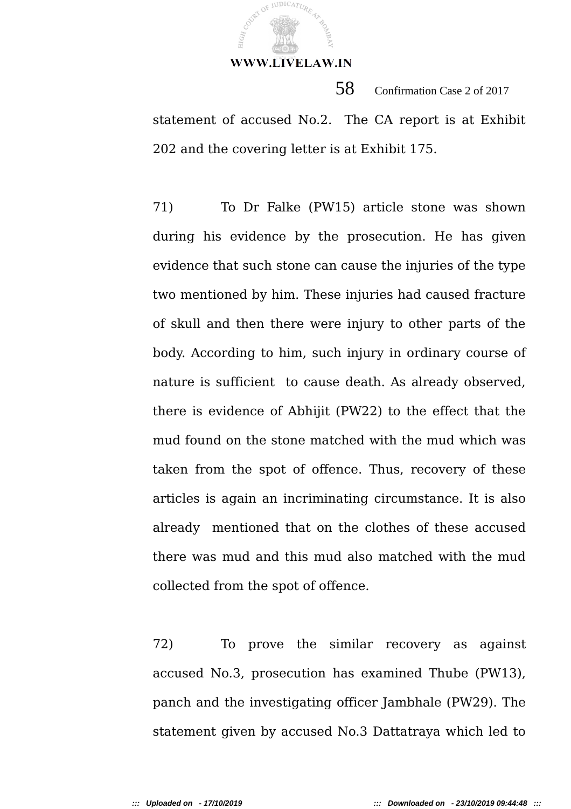JUDICATUR

58 Confirmation Case 2 of 2017 statement of accused No.2. The CA report is at Exhibit 202 and the covering letter is at Exhibit 175.

71) To Dr Falke (PW15) article stone was shown during his evidence by the prosecution. He has given evidence that such stone can cause the injuries of the type two mentioned by him. These injuries had caused fracture of skull and then there were injury to other parts of the body. According to him, such injury in ordinary course of nature is sufficient to cause death. As already observed, there is evidence of Abhijit (PW22) to the effect that the mud found on the stone matched with the mud which was taken from the spot of offence. Thus, recovery of these articles is again an incriminating circumstance. It is also already mentioned that on the clothes of these accused there was mud and this mud also matched with the mud collected from the spot of offence.

72) To prove the similar recovery as against accused No.3, prosecution has examined Thube (PW13), panch and the investigating officer Jambhale (PW29). The statement given by accused No.3 Dattatraya which led to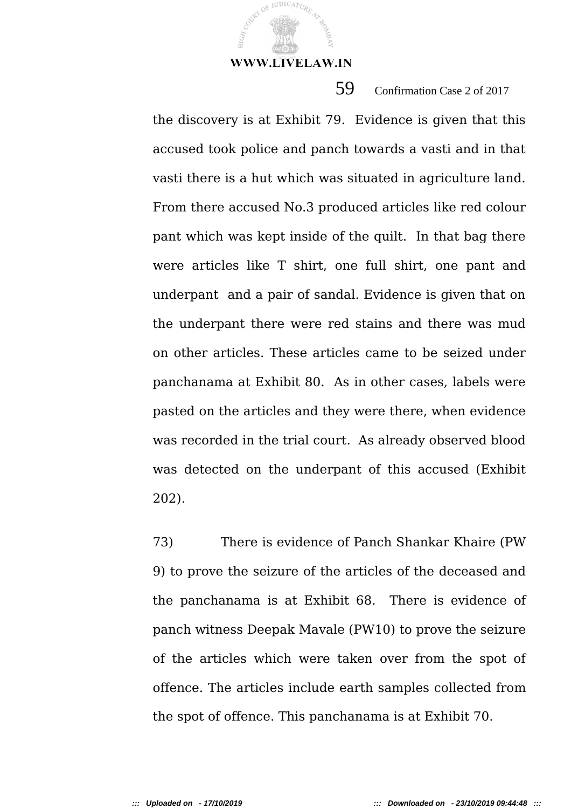JUDICATU

59 Confirmation Case 2 of 2017

the discovery is at Exhibit 79. Evidence is given that this accused took police and panch towards a vasti and in that vasti there is a hut which was situated in agriculture land. From there accused No.3 produced articles like red colour pant which was kept inside of the quilt. In that bag there were articles like T shirt, one full shirt, one pant and underpant and a pair of sandal. Evidence is given that on the underpant there were red stains and there was mud on other articles. These articles came to be seized under panchanama at Exhibit 80. As in other cases, labels were pasted on the articles and they were there, when evidence was recorded in the trial court. As already observed blood was detected on the underpant of this accused (Exhibit 202).

73) There is evidence of Panch Shankar Khaire (PW 9) to prove the seizure of the articles of the deceased and the panchanama is at Exhibit 68. There is evidence of panch witness Deepak Mavale (PW10) to prove the seizure of the articles which were taken over from the spot of offence. The articles include earth samples collected from the spot of offence. This panchanama is at Exhibit 70.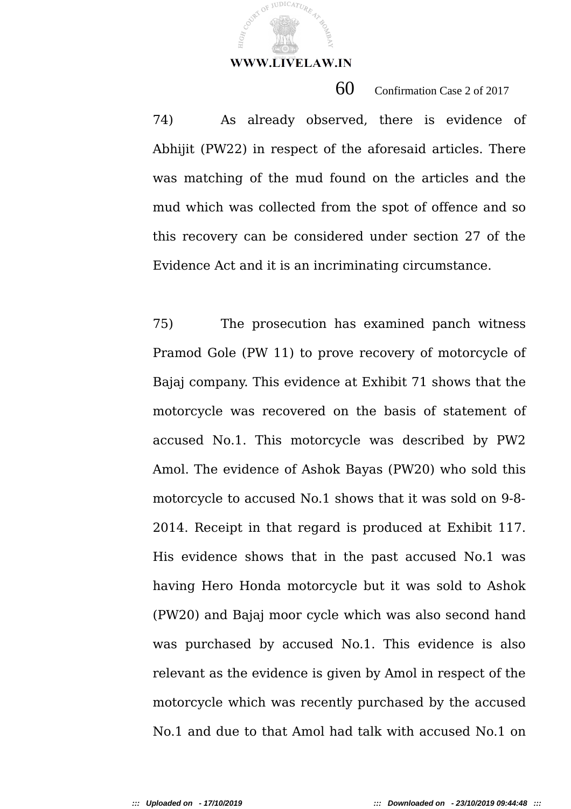JUDICATUR

60 Confirmation Case 2 of 2017

74) As already observed, there is evidence of Abhijit (PW22) in respect of the aforesaid articles. There was matching of the mud found on the articles and the mud which was collected from the spot of offence and so this recovery can be considered under section 27 of the Evidence Act and it is an incriminating circumstance.

75) The prosecution has examined panch witness Pramod Gole (PW 11) to prove recovery of motorcycle of Bajaj company. This evidence at Exhibit 71 shows that the motorcycle was recovered on the basis of statement of accused No.1. This motorcycle was described by PW2 Amol. The evidence of Ashok Bayas (PW20) who sold this motorcycle to accused No.1 shows that it was sold on 9-8- 2014. Receipt in that regard is produced at Exhibit 117. His evidence shows that in the past accused No.1 was having Hero Honda motorcycle but it was sold to Ashok (PW20) and Bajaj moor cycle which was also second hand was purchased by accused No.1. This evidence is also relevant as the evidence is given by Amol in respect of the motorcycle which was recently purchased by the accused No.1 and due to that Amol had talk with accused No.1 on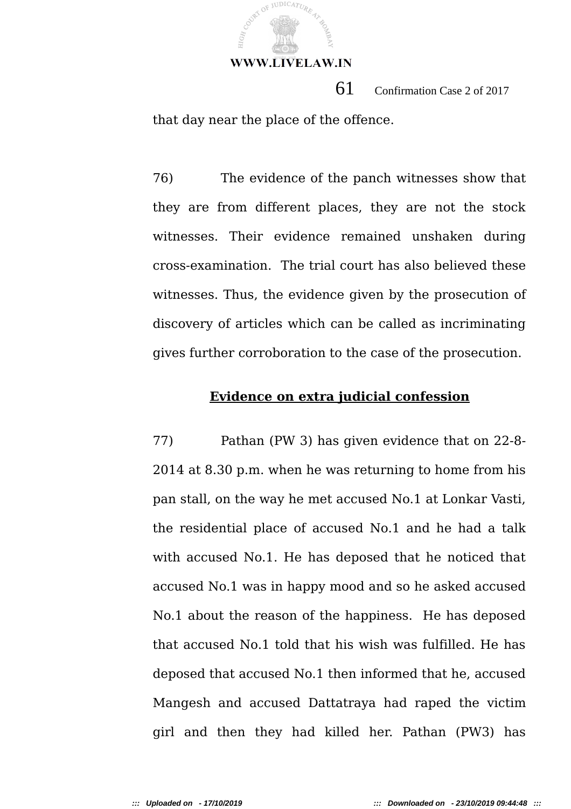

 61 Confirmation Case 2 of 2017 that day near the place of the offence.

76) The evidence of the panch witnesses show that they are from different places, they are not the stock witnesses. Their evidence remained unshaken during cross-examination. The trial court has also believed these witnesses. Thus, the evidence given by the prosecution of discovery of articles which can be called as incriminating gives further corroboration to the case of the prosecution.

## **Evidence on extra judicial confession**

77) Pathan (PW 3) has given evidence that on 22-8- 2014 at 8.30 p.m. when he was returning to home from his pan stall, on the way he met accused No.1 at Lonkar Vasti, the residential place of accused No.1 and he had a talk with accused No.1. He has deposed that he noticed that accused No.1 was in happy mood and so he asked accused No.1 about the reason of the happiness. He has deposed that accused No.1 told that his wish was fulfilled. He has deposed that accused No.1 then informed that he, accused Mangesh and accused Dattatraya had raped the victim girl and then they had killed her. Pathan (PW3) has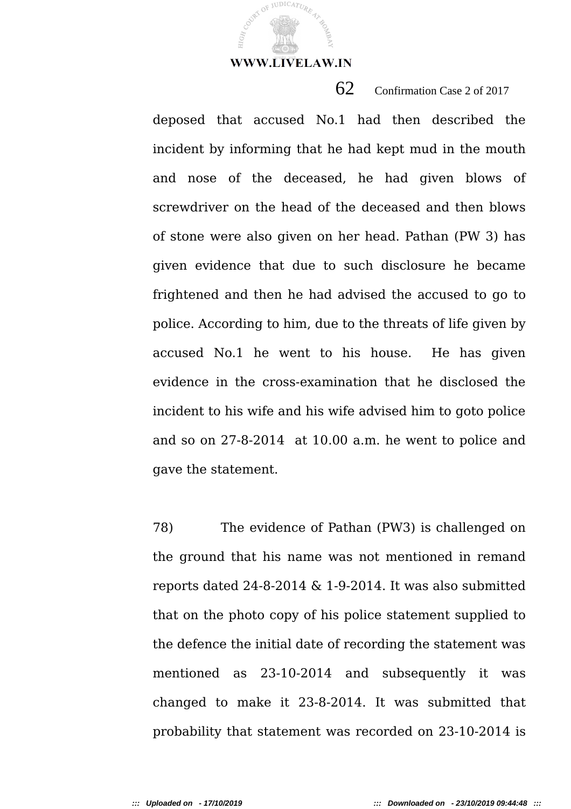JUDICATUR

62 Confirmation Case 2 of 2017

deposed that accused No.1 had then described the incident by informing that he had kept mud in the mouth and nose of the deceased, he had given blows of screwdriver on the head of the deceased and then blows of stone were also given on her head. Pathan (PW 3) has given evidence that due to such disclosure he became frightened and then he had advised the accused to go to police. According to him, due to the threats of life given by accused No.1 he went to his house. He has given evidence in the cross-examination that he disclosed the incident to his wife and his wife advised him to goto police and so on 27-8-2014 at 10.00 a.m. he went to police and gave the statement.

78) The evidence of Pathan (PW3) is challenged on the ground that his name was not mentioned in remand reports dated 24-8-2014 & 1-9-2014. It was also submitted that on the photo copy of his police statement supplied to the defence the initial date of recording the statement was mentioned as 23-10-2014 and subsequently it was changed to make it 23-8-2014. It was submitted that probability that statement was recorded on 23-10-2014 is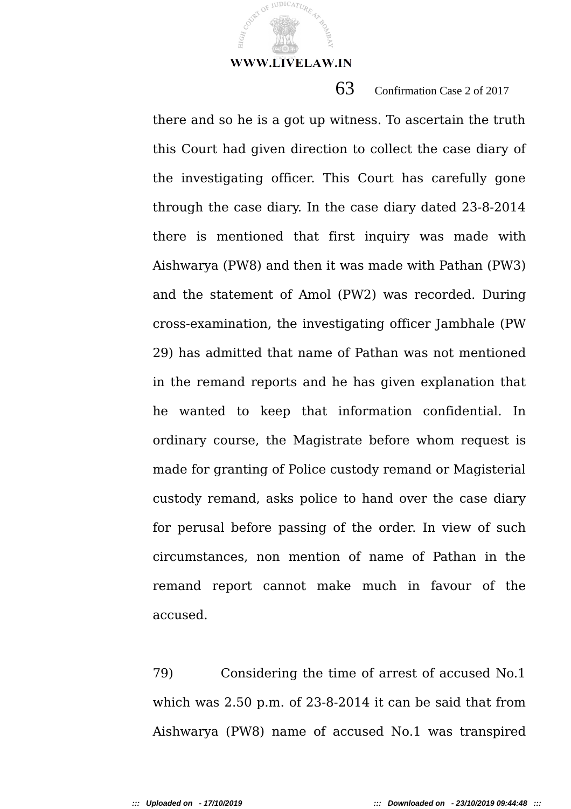JUDICATUR

63 Confirmation Case 2 of 2017

there and so he is a got up witness. To ascertain the truth this Court had given direction to collect the case diary of the investigating officer. This Court has carefully gone through the case diary. In the case diary dated 23-8-2014 there is mentioned that first inquiry was made with Aishwarya (PW8) and then it was made with Pathan (PW3) and the statement of Amol (PW2) was recorded. During cross-examination, the investigating officer Jambhale (PW 29) has admitted that name of Pathan was not mentioned in the remand reports and he has given explanation that he wanted to keep that information confidential. In ordinary course, the Magistrate before whom request is made for granting of Police custody remand or Magisterial custody remand, asks police to hand over the case diary for perusal before passing of the order. In view of such circumstances, non mention of name of Pathan in the remand report cannot make much in favour of the accused.

79) Considering the time of arrest of accused No.1 which was 2.50 p.m. of 23-8-2014 it can be said that from Aishwarya (PW8) name of accused No.1 was transpired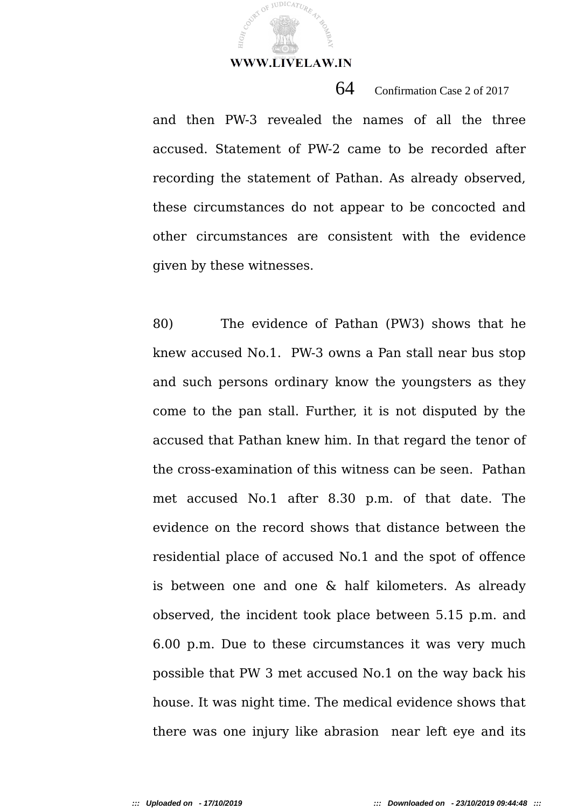**JUDICATUR** 

and then PW-3 revealed the names of all the three accused. Statement of PW-2 came to be recorded after recording the statement of Pathan. As already observed, these circumstances do not appear to be concocted and other circumstances are consistent with the evidence given by these witnesses.

64 Confirmation Case 2 of 2017

80) The evidence of Pathan (PW3) shows that he knew accused No.1. PW-3 owns a Pan stall near bus stop and such persons ordinary know the youngsters as they come to the pan stall. Further, it is not disputed by the accused that Pathan knew him. In that regard the tenor of the cross-examination of this witness can be seen. Pathan met accused No.1 after 8.30 p.m. of that date. The evidence on the record shows that distance between the residential place of accused No.1 and the spot of offence is between one and one & half kilometers. As already observed, the incident took place between 5.15 p.m. and 6.00 p.m. Due to these circumstances it was very much possible that PW 3 met accused No.1 on the way back his house. It was night time. The medical evidence shows that there was one injury like abrasion near left eye and its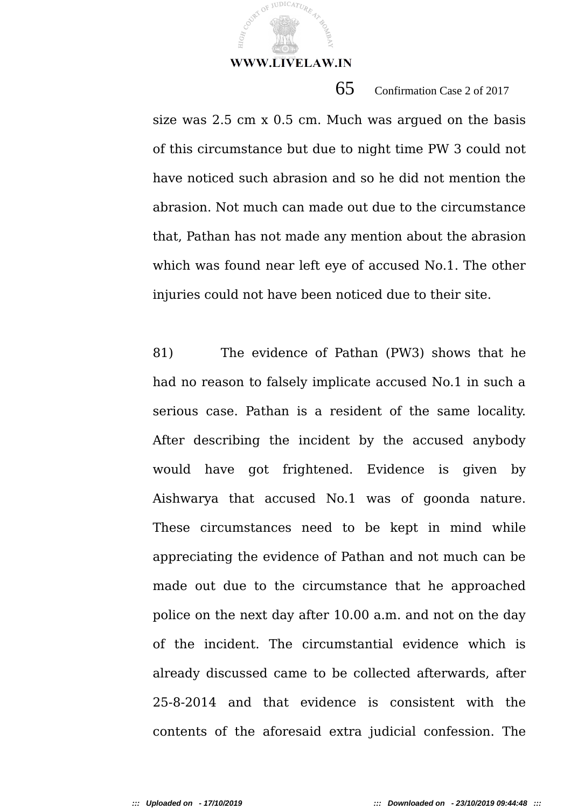**JUDICATUR** 

65 Confirmation Case 2 of 2017

size was 2.5 cm x 0.5 cm. Much was argued on the basis of this circumstance but due to night time PW 3 could not have noticed such abrasion and so he did not mention the abrasion. Not much can made out due to the circumstance that, Pathan has not made any mention about the abrasion which was found near left eye of accused No.1. The other injuries could not have been noticed due to their site.

81) The evidence of Pathan (PW3) shows that he had no reason to falsely implicate accused No.1 in such a serious case. Pathan is a resident of the same locality. After describing the incident by the accused anybody would have got frightened. Evidence is given by Aishwarya that accused No.1 was of goonda nature. These circumstances need to be kept in mind while appreciating the evidence of Pathan and not much can be made out due to the circumstance that he approached police on the next day after 10.00 a.m. and not on the day of the incident. The circumstantial evidence which is already discussed came to be collected afterwards, after 25-8-2014 and that evidence is consistent with the contents of the aforesaid extra judicial confession. The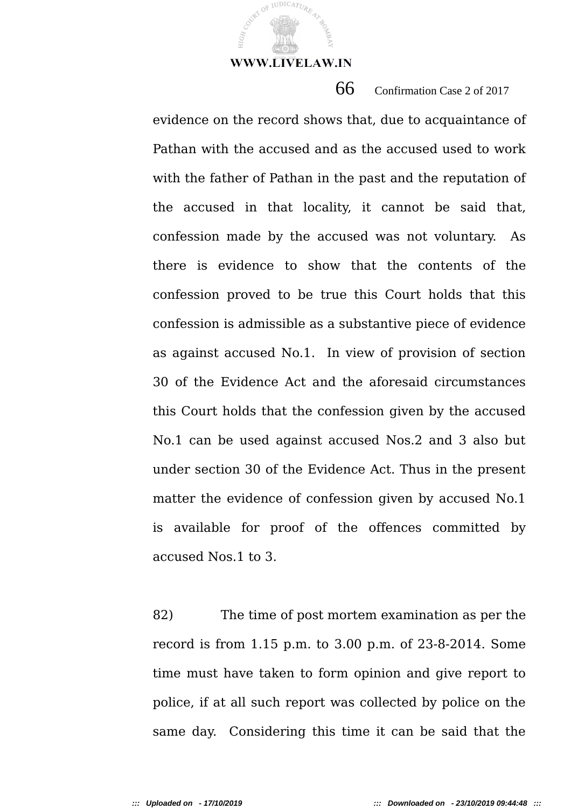**JUDICATUR** 

66 Confirmation Case 2 of 2017

evidence on the record shows that, due to acquaintance of Pathan with the accused and as the accused used to work with the father of Pathan in the past and the reputation of the accused in that locality, it cannot be said that, confession made by the accused was not voluntary. As there is evidence to show that the contents of the confession proved to be true this Court holds that this confession is admissible as a substantive piece of evidence as against accused No.1. In view of provision of section 30 of the Evidence Act and the aforesaid circumstances this Court holds that the confession given by the accused No.1 can be used against accused Nos.2 and 3 also but under section 30 of the Evidence Act. Thus in the present matter the evidence of confession given by accused No.1 is available for proof of the offences committed by accused Nos.1 to 3.

82) The time of post mortem examination as per the record is from 1.15 p.m. to 3.00 p.m. of 23-8-2014. Some time must have taken to form opinion and give report to police, if at all such report was collected by police on the same day. Considering this time it can be said that the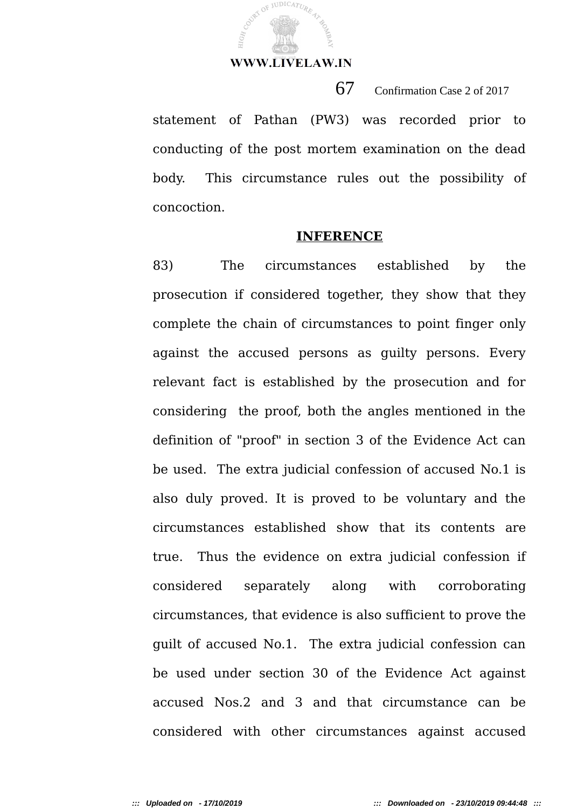

67 Confirmation Case 2 of 2017

statement of Pathan (PW3) was recorded prior to conducting of the post mortem examination on the dead body. This circumstance rules out the possibility of concoction.

#### **INFERENCE**

83) The circumstances established by the prosecution if considered together, they show that they complete the chain of circumstances to point finger only against the accused persons as guilty persons. Every relevant fact is established by the prosecution and for considering the proof, both the angles mentioned in the definition of "proof" in section 3 of the Evidence Act can be used. The extra judicial confession of accused No.1 is also duly proved. It is proved to be voluntary and the circumstances established show that its contents are true. Thus the evidence on extra judicial confession if considered separately along with corroborating circumstances, that evidence is also sufficient to prove the guilt of accused No.1. The extra judicial confession can be used under section 30 of the Evidence Act against accused Nos.2 and 3 and that circumstance can be considered with other circumstances against accused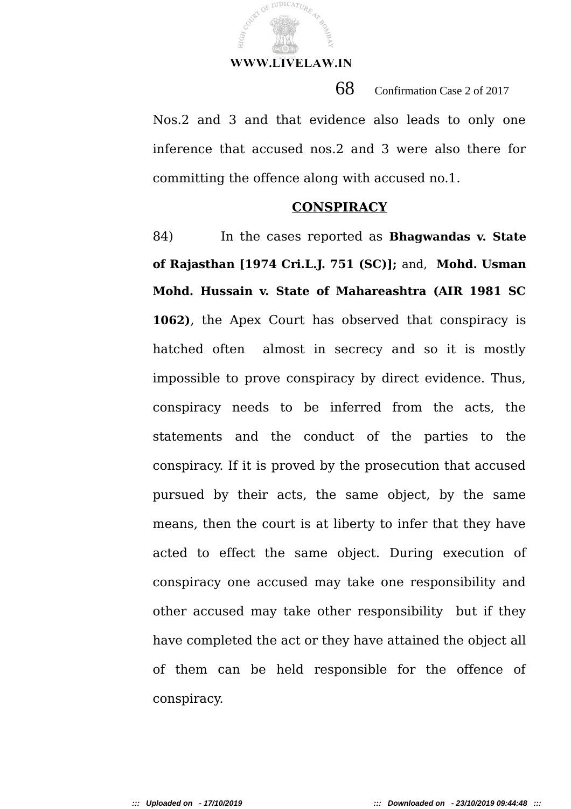COURT OF JUDICATURE

68 Confirmation Case 2 of 2017

Nos.2 and 3 and that evidence also leads to only one inference that accused nos.2 and 3 were also there for committing the offence along with accused no.1.

#### **CONSPIRACY**

84) In the cases reported as **Bhagwandas v. State of Rajasthan [1974 Cri.L.J. 751 (SC)];** and, **Mohd. Usman Mohd. Hussain v. State of Mahareashtra (AIR 1981 SC 1062)**, the Apex Court has observed that conspiracy is hatched often almost in secrecy and so it is mostly impossible to prove conspiracy by direct evidence. Thus, conspiracy needs to be inferred from the acts, the statements and the conduct of the parties to the conspiracy. If it is proved by the prosecution that accused pursued by their acts, the same object, by the same means, then the court is at liberty to infer that they have acted to effect the same object. During execution of conspiracy one accused may take one responsibility and other accused may take other responsibility but if they have completed the act or they have attained the object all of them can be held responsible for the offence of conspiracy.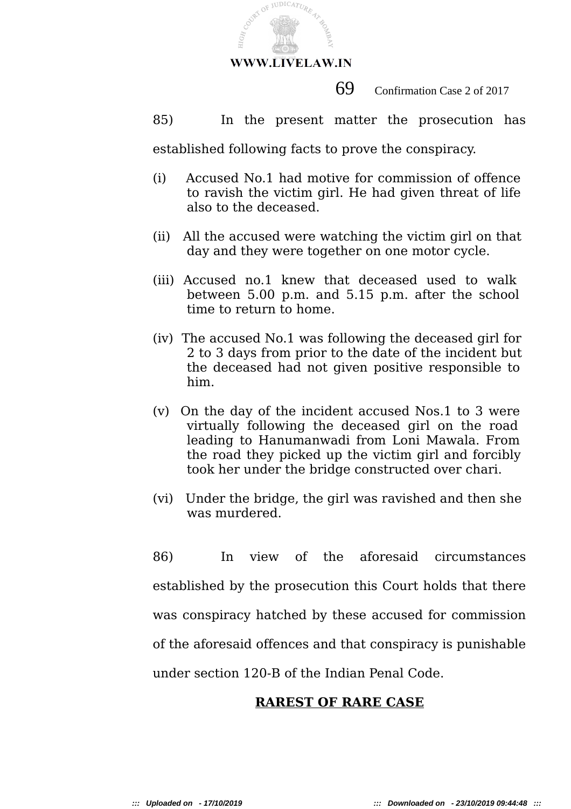

69 Confirmation Case 2 of 2017

85) In the present matter the prosecution has

established following facts to prove the conspiracy.

- (i) Accused No.1 had motive for commission of offence to ravish the victim girl. He had given threat of life also to the deceased.
- (ii) All the accused were watching the victim girl on that day and they were together on one motor cycle.
- (iii) Accused no.1 knew that deceased used to walk between 5.00 p.m. and 5.15 p.m. after the school time to return to home.
- (iv) The accused No.1 was following the deceased girl for 2 to 3 days from prior to the date of the incident but the deceased had not given positive responsible to him.
- (v) On the day of the incident accused Nos.1 to 3 were virtually following the deceased girl on the road leading to Hanumanwadi from Loni Mawala. From the road they picked up the victim girl and forcibly took her under the bridge constructed over chari.
- (vi) Under the bridge, the girl was ravished and then she was murdered.

86) In view of the aforesaid circumstances established by the prosecution this Court holds that there was conspiracy hatched by these accused for commission of the aforesaid offences and that conspiracy is punishable under section 120-B of the Indian Penal Code.

# **RAREST OF RARE CASE**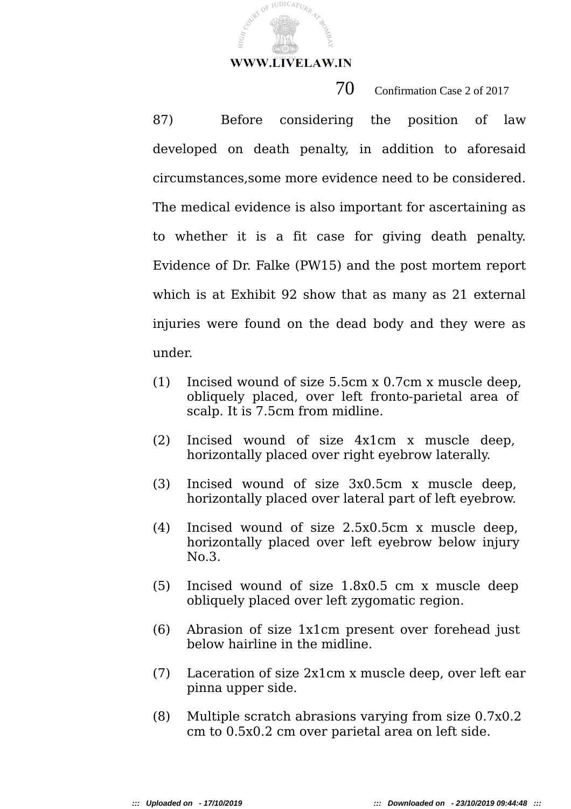COURT OF JUDICATURE

HIGR,

 $70$  Confirmation Case 2 of 2017

87) Before considering the position of law developed on death penalty, in addition to aforesaid circumstances,some more evidence need to be considered. The medical evidence is also important for ascertaining as to whether it is a fit case for giving death penalty. Evidence of Dr. Falke (PW15) and the post mortem report which is at Exhibit 92 show that as many as 21 external injuries were found on the dead body and they were as under.

- (1) Incised wound of size 5.5cm x 0.7cm x muscle deep, obliquely placed, over left fronto-parietal area of scalp. It is 7.5cm from midline.
- (2) Incised wound of size 4x1cm x muscle deep, horizontally placed over right eyebrow laterally.
- (3) Incised wound of size 3x0.5cm x muscle deep, horizontally placed over lateral part of left eyebrow.
- (4) Incised wound of size 2.5x0.5cm x muscle deep, horizontally placed over left eyebrow below injury No.3.
- (5) Incised wound of size 1.8x0.5 cm x muscle deep obliquely placed over left zygomatic region.
- (6) Abrasion of size 1x1cm present over forehead just below hairline in the midline.
- (7) Laceration of size 2x1cm x muscle deep, over left ear pinna upper side.
- (8) Multiple scratch abrasions varying from size 0.7x0.2 cm to 0.5x0.2 cm over parietal area on left side.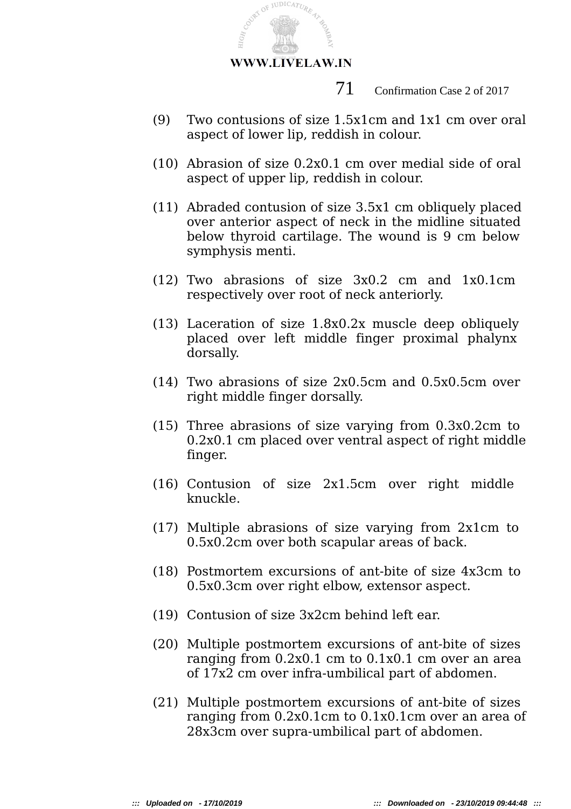

71 Confirmation Case 2 of 2017

- (9) Two contusions of size 1.5x1cm and 1x1 cm over oral aspect of lower lip, reddish in colour.
- (10) Abrasion of size 0.2x0.1 cm over medial side of oral aspect of upper lip, reddish in colour.
- (11) Abraded contusion of size 3.5x1 cm obliquely placed over anterior aspect of neck in the midline situated below thyroid cartilage. The wound is 9 cm below symphysis menti.
- (12) Two abrasions of size 3x0.2 cm and 1x0.1cm respectively over root of neck anteriorly.
- (13) Laceration of size 1.8x0.2x muscle deep obliquely placed over left middle finger proximal phalynx dorsally.
- (14) Two abrasions of size 2x0.5cm and 0.5x0.5cm over right middle finger dorsally.
- (15) Three abrasions of size varying from 0.3x0.2cm to 0.2x0.1 cm placed over ventral aspect of right middle finger.
- (16) Contusion of size 2x1.5cm over right middle knuckle.
- (17) Multiple abrasions of size varying from 2x1cm to 0.5x0.2cm over both scapular areas of back.
- (18) Postmortem excursions of ant-bite of size 4x3cm to 0.5x0.3cm over right elbow, extensor aspect.
- (19) Contusion of size 3x2cm behind left ear.
- (20) Multiple postmortem excursions of ant-bite of sizes ranging from 0.2x0.1 cm to 0.1x0.1 cm over an area of 17x2 cm over infra-umbilical part of abdomen.
- (21) Multiple postmortem excursions of ant-bite of sizes ranging from 0.2x0.1cm to 0.1x0.1cm over an area of 28x3cm over supra-umbilical part of abdomen.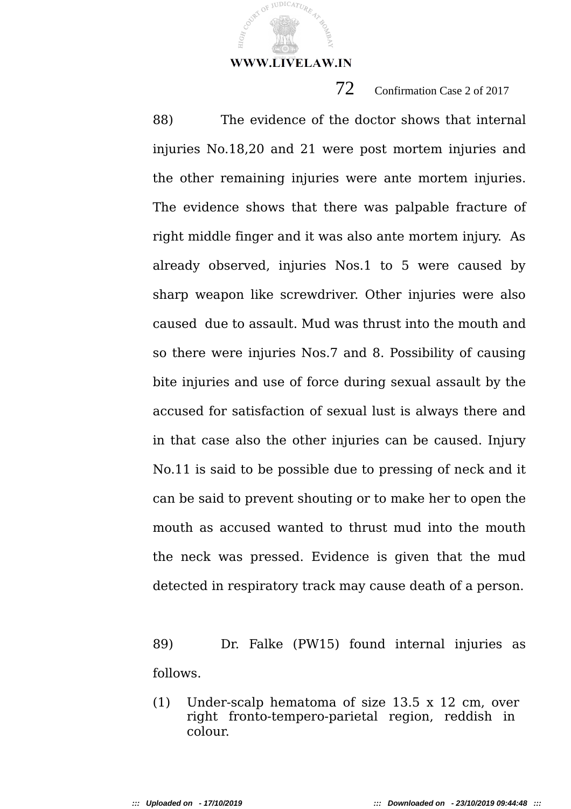JUDICATUR

72 Confirmation Case 2 of 2017

88) The evidence of the doctor shows that internal injuries No.18,20 and 21 were post mortem injuries and the other remaining injuries were ante mortem injuries. The evidence shows that there was palpable fracture of right middle finger and it was also ante mortem injury. As already observed, injuries Nos.1 to 5 were caused by sharp weapon like screwdriver. Other injuries were also caused due to assault. Mud was thrust into the mouth and so there were injuries Nos.7 and 8. Possibility of causing bite injuries and use of force during sexual assault by the accused for satisfaction of sexual lust is always there and in that case also the other injuries can be caused. Injury No.11 is said to be possible due to pressing of neck and it can be said to prevent shouting or to make her to open the mouth as accused wanted to thrust mud into the mouth the neck was pressed. Evidence is given that the mud detected in respiratory track may cause death of a person.

89) Dr. Falke (PW15) found internal injuries as follows.

(1) Under-scalp hematoma of size 13.5 x 12 cm, over right fronto-tempero-parietal region, reddish in colour.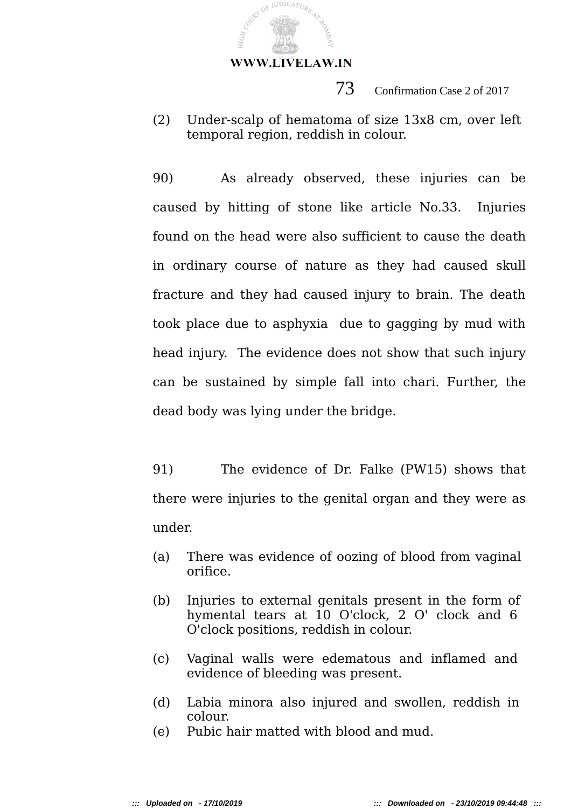COURT OF JUDICATURE

HIGH,

73 Confirmation Case 2 of 2017

(2) Under-scalp of hematoma of size 13x8 cm, over left temporal region, reddish in colour.

90) As already observed, these injuries can be caused by hitting of stone like article No.33. Injuries found on the head were also sufficient to cause the death in ordinary course of nature as they had caused skull fracture and they had caused injury to brain. The death took place due to asphyxia due to gagging by mud with head injury. The evidence does not show that such injury can be sustained by simple fall into chari. Further, the dead body was lying under the bridge.

91) The evidence of Dr. Falke (PW15) shows that there were injuries to the genital organ and they were as under.

- (a) There was evidence of oozing of blood from vaginal orifice.
- (b) Injuries to external genitals present in the form of hymental tears at 10 O'clock, 2 O' clock and 6 O'clock positions, reddish in colour.
- (c) Vaginal walls were edematous and inflamed and evidence of bleeding was present.
- (d) Labia minora also injured and swollen, reddish in colour.
- (e) Pubic hair matted with blood and mud.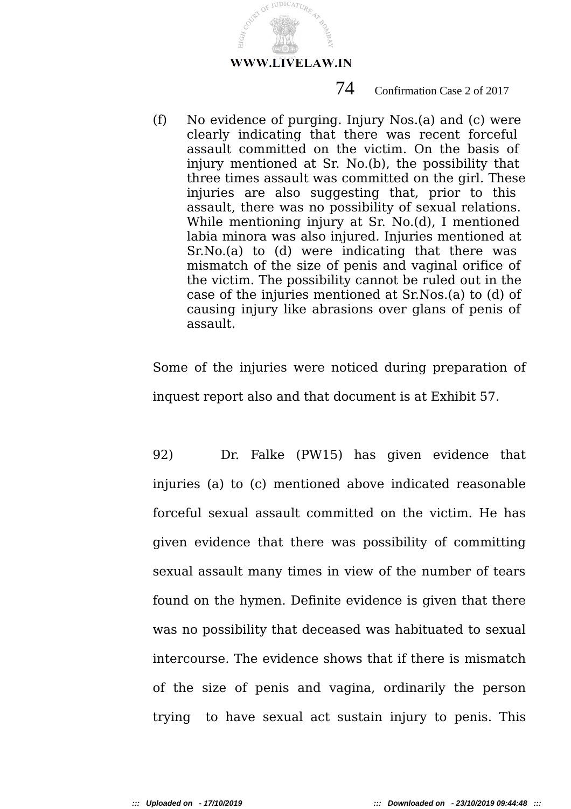

### 74 Confirmation Case 2 of 2017

(f) No evidence of purging. Injury Nos.(a) and (c) were clearly indicating that there was recent forceful assault committed on the victim. On the basis of injury mentioned at Sr. No.(b), the possibility that three times assault was committed on the girl. These injuries are also suggesting that, prior to this assault, there was no possibility of sexual relations. While mentioning injury at Sr. No.(d), I mentioned labia minora was also injured. Injuries mentioned at Sr.No.(a) to (d) were indicating that there was mismatch of the size of penis and vaginal orifice of the victim. The possibility cannot be ruled out in the case of the injuries mentioned at Sr.Nos.(a) to (d) of causing injury like abrasions over glans of penis of assault.

Some of the injuries were noticed during preparation of inquest report also and that document is at Exhibit 57.

92) Dr. Falke (PW15) has given evidence that injuries (a) to (c) mentioned above indicated reasonable forceful sexual assault committed on the victim. He has given evidence that there was possibility of committing sexual assault many times in view of the number of tears found on the hymen. Definite evidence is given that there was no possibility that deceased was habituated to sexual intercourse. The evidence shows that if there is mismatch of the size of penis and vagina, ordinarily the person trying to have sexual act sustain injury to penis. This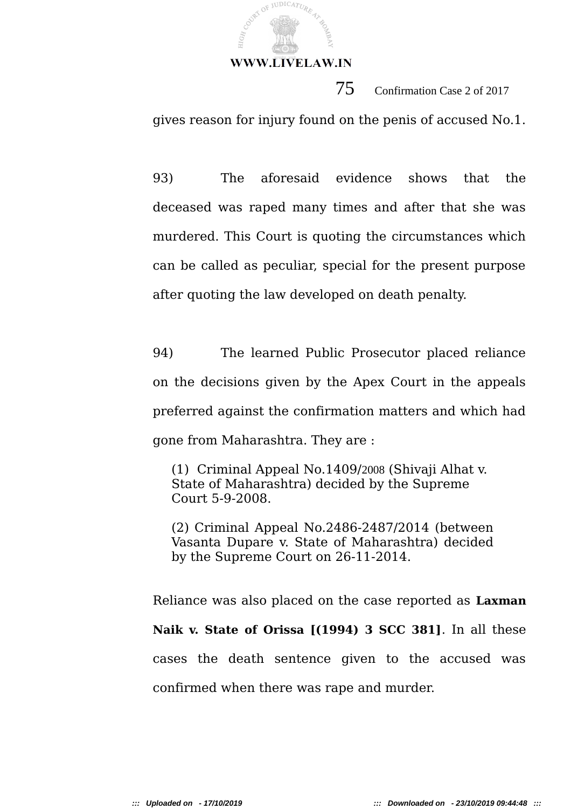

75 Confirmation Case 2 of 2017

gives reason for injury found on the penis of accused No.1.

93) The aforesaid evidence shows that the deceased was raped many times and after that she was murdered. This Court is quoting the circumstances which can be called as peculiar, special for the present purpose after quoting the law developed on death penalty.

94) The learned Public Prosecutor placed reliance on the decisions given by the Apex Court in the appeals preferred against the confirmation matters and which had gone from Maharashtra. They are :

(1) Criminal Appeal No.1409/2008 (Shivaji Alhat v. State of Maharashtra) decided by the Supreme Court 5-9-2008.

(2) Criminal Appeal No.2486-2487/2014 (between Vasanta Dupare v. State of Maharashtra) decided by the Supreme Court on 26-11-2014.

Reliance was also placed on the case reported as **Laxman Naik v. State of Orissa [(1994) 3 SCC 381]**. In all these cases the death sentence given to the accused was confirmed when there was rape and murder.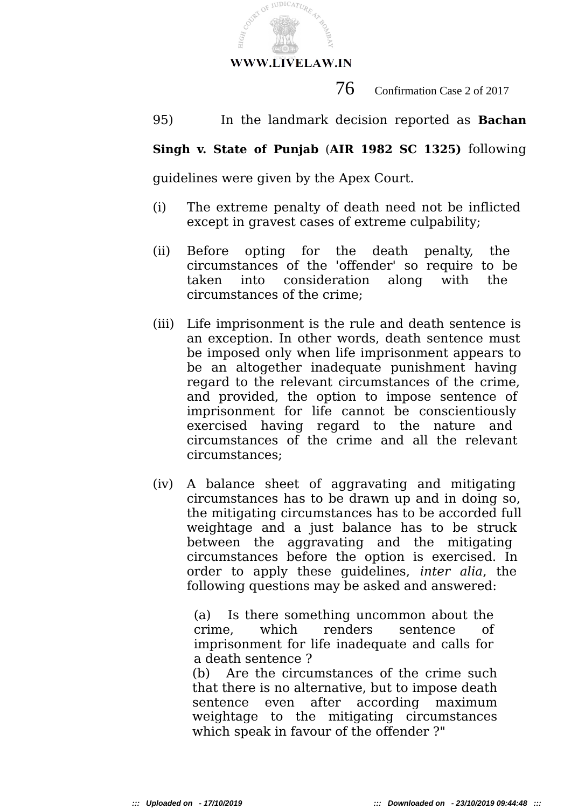

 $76$  Confirmation Case 2 of 2017

95) In the landmark decision reported as **Bachan**

## **Singh v. State of Punjab** (**AIR 1982 SC 1325)** following

guidelines were given by the Apex Court.

- (i) The extreme penalty of death need not be inflicted except in gravest cases of extreme culpability;
- (ii) Before opting for the death penalty, the circumstances of the 'offender' so require to be taken into consideration along with the circumstances of the crime;
- (iii) Life imprisonment is the rule and death sentence is an exception. In other words, death sentence must be imposed only when life imprisonment appears to be an altogether inadequate punishment having regard to the relevant circumstances of the crime, and provided, the option to impose sentence of imprisonment for life cannot be conscientiously exercised having regard to the nature and circumstances of the crime and all the relevant circumstances;
- (iv) A balance sheet of aggravating and mitigating circumstances has to be drawn up and in doing so, the mitigating circumstances has to be accorded full weightage and a just balance has to be struck between the aggravating and the mitigating circumstances before the option is exercised. In order to apply these guidelines, *inter alia*, the following questions may be asked and answered:

(a) Is there something uncommon about the crime, which renders sentence of imprisonment for life inadequate and calls for a death sentence ?

(b) Are the circumstances of the crime such that there is no alternative, but to impose death sentence even after according maximum weightage to the mitigating circumstances which speak in favour of the offender ?"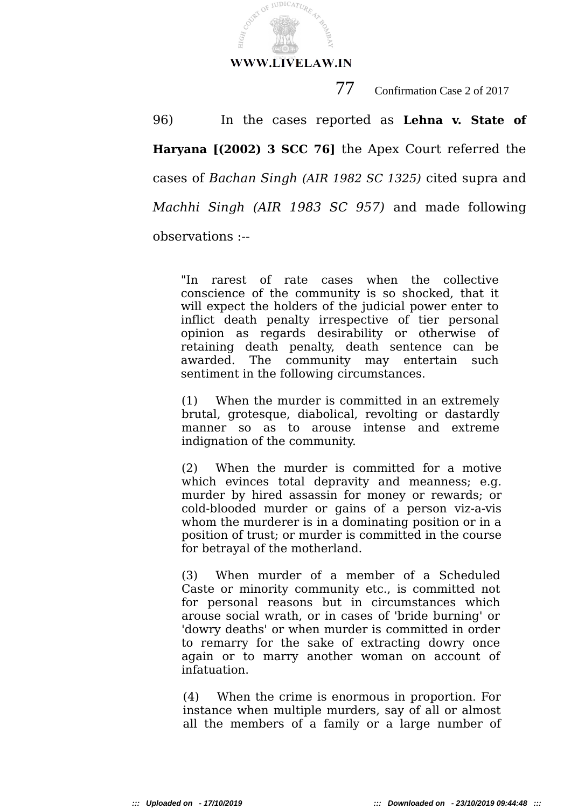

COURT OF JUDICATURE

HIGH,

77 Confirmation Case 2 of 2017

96) In the cases reported as **Lehna v. State of Haryana [(2002) 3 SCC 76]** the Apex Court referred the cases of *Bachan Singh (AIR 1982 SC 1325)* cited supra and *Machhi Singh (AIR 1983 SC 957)* and made following observations :--

"In rarest of rate cases when the collective conscience of the community is so shocked, that it will expect the holders of the judicial power enter to inflict death penalty irrespective of tier personal opinion as regards desirability or otherwise of retaining death penalty, death sentence can be awarded. The community may entertain such sentiment in the following circumstances.

(1) When the murder is committed in an extremely brutal, grotesque, diabolical, revolting or dastardly manner so as to arouse intense and extreme indignation of the community.

(2) When the murder is committed for a motive which evinces total depravity and meanness; e.g. murder by hired assassin for money or rewards; or cold-blooded murder or gains of a person viz-a-vis whom the murderer is in a dominating position or in a position of trust; or murder is committed in the course for betrayal of the motherland.

(3) When murder of a member of a Scheduled Caste or minority community etc., is committed not for personal reasons but in circumstances which arouse social wrath, or in cases of 'bride burning' or 'dowry deaths' or when murder is committed in order to remarry for the sake of extracting dowry once again or to marry another woman on account of infatuation.

(4) When the crime is enormous in proportion. For instance when multiple murders, say of all or almost all the members of a family or a large number of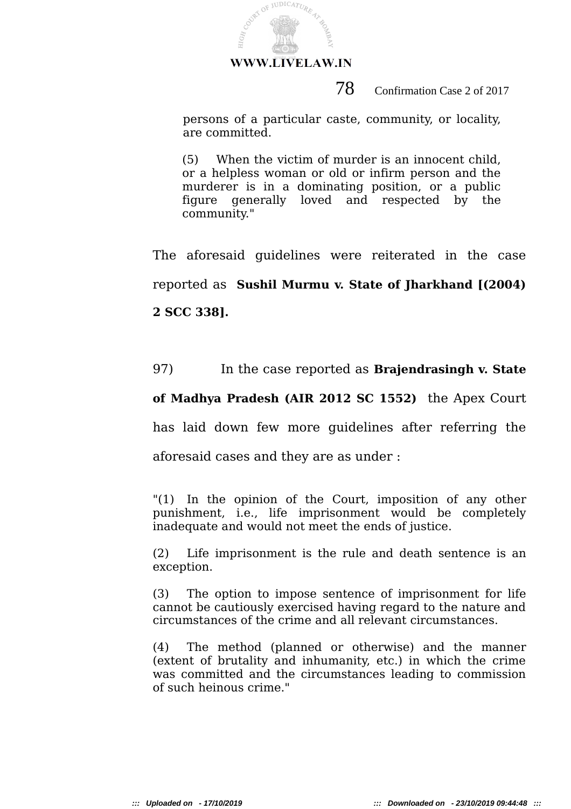

## 78 Confirmation Case 2 of 2017

persons of a particular caste, community, or locality, are committed.

(5) When the victim of murder is an innocent child, or a helpless woman or old or infirm person and the murderer is in a dominating position, or a public figure generally loved and respected by the community."

The aforesaid guidelines were reiterated in the case reported as **Sushil Murmu v. State of Jharkhand [(2004) 2 SCC 338].**

## 97) In the case reported as **Brajendrasingh v. State**

## **of Madhya Pradesh (AIR 2012 SC 1552)** the Apex Court

has laid down few more guidelines after referring the

aforesaid cases and they are as under :

"(1) In the opinion of the Court, imposition of any other punishment, i.e., life imprisonment would be completely inadequate and would not meet the ends of justice.

(2) Life imprisonment is the rule and death sentence is an exception.

(3) The option to impose sentence of imprisonment for life cannot be cautiously exercised having regard to the nature and circumstances of the crime and all relevant circumstances.

(4) The method (planned or otherwise) and the manner (extent of brutality and inhumanity, etc.) in which the crime was committed and the circumstances leading to commission of such heinous crime."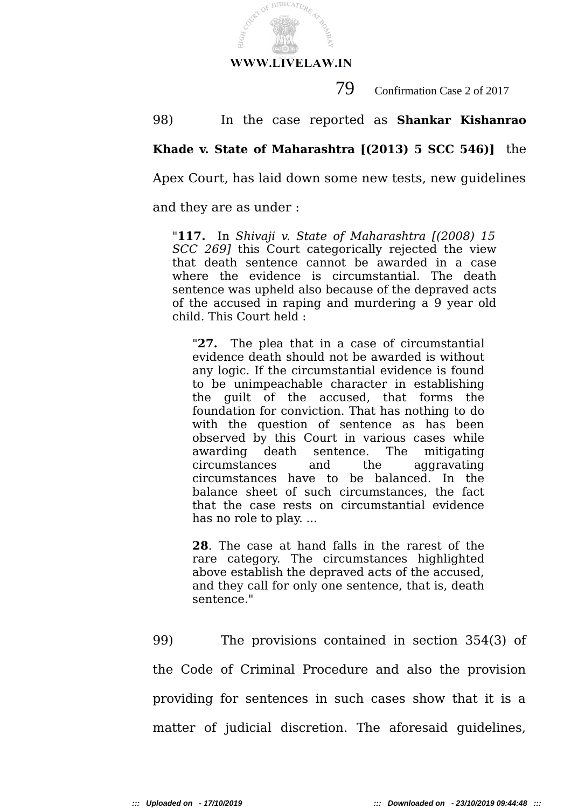

79 Confirmation Case 2 of 2017

98) In the case reported as **Shankar Kishanrao**

## **Khade v. State of Maharashtra [(2013) 5 SCC 546)]** the

Apex Court, has laid down some new tests, new guidelines

and they are as under :

"**117.** In *Shivaji v. State of Maharashtra [(2008) 15 SCC 269]* this Court categorically rejected the view that death sentence cannot be awarded in a case where the evidence is circumstantial. The death sentence was upheld also because of the depraved acts of the accused in raping and murdering a 9 year old child. This Court held :

"**27.** The plea that in a case of circumstantial evidence death should not be awarded is without any logic. If the circumstantial evidence is found to be unimpeachable character in establishing the guilt of the accused, that forms the foundation for conviction. That has nothing to do with the question of sentence as has been observed by this Court in various cases while awarding death sentence. The mitigating circumstances and the aggravating circumstances have to be balanced. In the balance sheet of such circumstances, the fact that the case rests on circumstantial evidence has no role to play. ...

**28**. The case at hand falls in the rarest of the rare category. The circumstances highlighted above establish the depraved acts of the accused, and they call for only one sentence, that is, death sentence."

99) The provisions contained in section 354(3) of the Code of Criminal Procedure and also the provision providing for sentences in such cases show that it is a matter of judicial discretion. The aforesaid guidelines,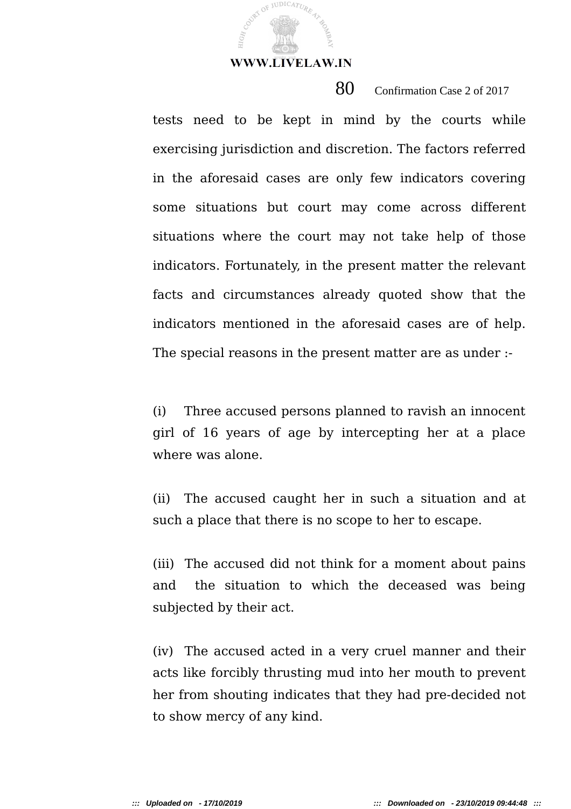COURT OF JUDICATURE

80 Confirmation Case 2 of 2017

tests need to be kept in mind by the courts while exercising jurisdiction and discretion. The factors referred in the aforesaid cases are only few indicators covering some situations but court may come across different situations where the court may not take help of those indicators. Fortunately, in the present matter the relevant facts and circumstances already quoted show that the indicators mentioned in the aforesaid cases are of help. The special reasons in the present matter are as under :-

(i) Three accused persons planned to ravish an innocent girl of 16 years of age by intercepting her at a place where was alone.

(ii) The accused caught her in such a situation and at such a place that there is no scope to her to escape.

(iii) The accused did not think for a moment about pains and the situation to which the deceased was being subjected by their act.

(iv) The accused acted in a very cruel manner and their acts like forcibly thrusting mud into her mouth to prevent her from shouting indicates that they had pre-decided not to show mercy of any kind.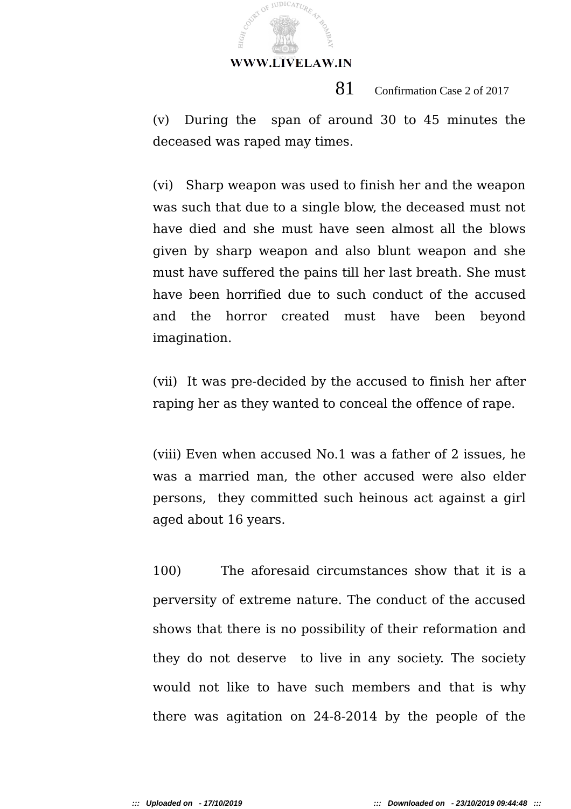JUDICATUR

81 Confirmation Case 2 of 2017

(v) During the span of around 30 to 45 minutes the deceased was raped may times.

(vi) Sharp weapon was used to finish her and the weapon was such that due to a single blow, the deceased must not have died and she must have seen almost all the blows given by sharp weapon and also blunt weapon and she must have suffered the pains till her last breath. She must have been horrified due to such conduct of the accused and the horror created must have been beyond imagination.

(vii) It was pre-decided by the accused to finish her after raping her as they wanted to conceal the offence of rape.

(viii) Even when accused No.1 was a father of 2 issues, he was a married man, the other accused were also elder persons, they committed such heinous act against a girl aged about 16 years.

100) The aforesaid circumstances show that it is a perversity of extreme nature. The conduct of the accused shows that there is no possibility of their reformation and they do not deserve to live in any society. The society would not like to have such members and that is why there was agitation on 24-8-2014 by the people of the